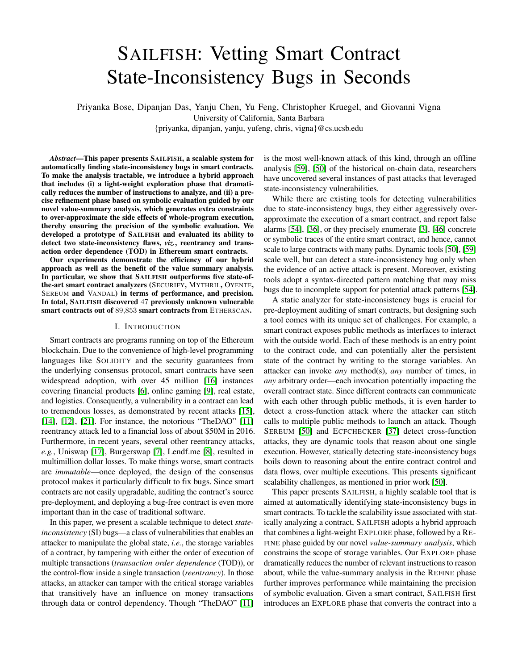# SAILFISH: Vetting Smart Contract State-Inconsistency Bugs in Seconds

Priyanka Bose, Dipanjan Das, Yanju Chen, Yu Feng, Christopher Kruegel, and Giovanni Vigna University of California, Santa Barbara {priyanka, dipanjan, yanju, yufeng, chris, vigna}@cs.ucsb.edu

*Abstract*—This paper presents SAILFISH, a scalable system for automatically finding state-inconsistency bugs in smart contracts. To make the analysis tractable, we introduce a hybrid approach that includes (i) a light-weight exploration phase that dramatically reduces the number of instructions to analyze, and (ii) a precise refinement phase based on symbolic evaluation guided by our novel value-summary analysis, which generates extra constraints to over-approximate the side effects of whole-program execution, thereby ensuring the precision of the symbolic evaluation. We developed a prototype of SAILFISH and evaluated its ability to detect two state-inconsistency flaws, *viz.*, reentrancy and transaction order dependence (TOD) in Ethereum smart contracts.

Our experiments demonstrate the efficiency of our hybrid approach as well as the benefit of the value summary analysis. In particular, we show that SAILFISH outperforms five state-ofthe-art smart contract analyzers (SECURIFY, MYTHRIL, OYENTE, SEREUM and VANDAL) in terms of performance, and precision. In total, SAILFISH discovered 47 previously unknown vulnerable smart contracts out of 89,853 smart contracts from ETHERSCAN.

#### I. INTRODUCTION

Smart contracts are programs running on top of the Ethereum blockchain. Due to the convenience of high-level programming languages like SOLIDITY and the security guarantees from the underlying consensus protocol, smart contracts have seen widespread adoption, with over 45 million [\[16\]](#page-14-0) instances covering financial products [\[6\]](#page-14-1), online gaming [\[9\]](#page-14-2), real estate, and logistics. Consequently, a vulnerability in a contract can lead to tremendous losses, as demonstrated by recent attacks [\[15\]](#page-14-3), [\[14\]](#page-14-4), [\[12\]](#page-14-5), [\[21\]](#page-14-6). For instance, the notorious "TheDAO" [\[11\]](#page-14-7) reentrancy attack led to a financial loss of about \$50M in 2016. Furthermore, in recent years, several other reentrancy attacks, *e.g.*, Uniswap [\[17\]](#page-14-8), Burgerswap [\[7\]](#page-14-9), Lendf.me [\[8\]](#page-14-10), resulted in multimillion dollar losses. To make things worse, smart contracts are *immutable*—once deployed, the design of the consensus protocol makes it particularly difficult to fix bugs. Since smart contracts are not easily upgradable, auditing the contract's source pre-deployment, and deploying a bug-free contract is even more important than in the case of traditional software.

In this paper, we present a scalable technique to detect *stateinconsistency* (SI) bugs—a class of vulnerabilities that enables an attacker to manipulate the global state, *i.e.*, the storage variables of a contract, by tampering with either the order of execution of multiple transactions (*transaction order dependence* (TOD)), or the control-flow inside a single transaction (*reentrancy*). In those attacks, an attacker can tamper with the critical storage variables that transitively have an influence on money transactions through data or control dependency. Though "TheDAO" [\[11\]](#page-14-7) is the most well-known attack of this kind, through an offline analysis [\[59\]](#page-15-0), [\[50\]](#page-14-11) of the historical on-chain data, researchers have uncovered several instances of past attacks that leveraged state-inconsistency vulnerabilities.

While there are existing tools for detecting vulnerabilities due to state-inconsistency bugs, they either aggressively overapproximate the execution of a smart contract, and report false alarms [\[54\]](#page-15-1), [\[36\]](#page-14-12), or they precisely enumerate [\[3\]](#page-14-13), [\[46\]](#page-14-14) concrete or symbolic traces of the entire smart contract, and hence, cannot scale to large contracts with many paths. Dynamic tools [\[50\]](#page-14-11), [\[59\]](#page-15-0) scale well, but can detect a state-inconsistency bug only when the evidence of an active attack is present. Moreover, existing tools adopt a syntax-directed pattern matching that may miss bugs due to incomplete support for potential attack patterns [\[54\]](#page-15-1).

A static analyzer for state-inconsistency bugs is crucial for pre-deployment auditing of smart contracts, but designing such a tool comes with its unique set of challenges. For example, a smart contract exposes public methods as interfaces to interact with the outside world. Each of these methods is an entry point to the contract code, and can potentially alter the persistent state of the contract by writing to the storage variables. An attacker can invoke *any* method(s), *any* number of times, in *any* arbitrary order—each invocation potentially impacting the overall contract state. Since different contracts can communicate with each other through public methods, it is even harder to detect a cross-function attack where the attacker can stitch calls to multiple public methods to launch an attack. Though SEREUM [\[50\]](#page-14-11) and ECFCHECKER [\[37\]](#page-14-15) detect cross-function attacks, they are dynamic tools that reason about one single execution. However, statically detecting state-inconsistency bugs boils down to reasoning about the entire contract control and data flows, over multiple executions. This presents significant scalability challenges, as mentioned in prior work [\[50\]](#page-14-11).

This paper presents SAILFISH, a highly scalable tool that is aimed at automatically identifying state-inconsistency bugs in smart contracts. To tackle the scalability issue associated with statically analyzing a contract, SAILFISH adopts a hybrid approach that combines a light-weight EXPLORE phase, followed by a RE-FINE phase guided by our novel *value-summary analysis*, which constrains the scope of storage variables. Our EXPLORE phase dramatically reduces the number of relevant instructions to reason about, while the value-summary analysis in the REFINE phase further improves performance while maintaining the precision of symbolic evaluation. Given a smart contract, SAILFISH first introduces an EXPLORE phase that converts the contract into a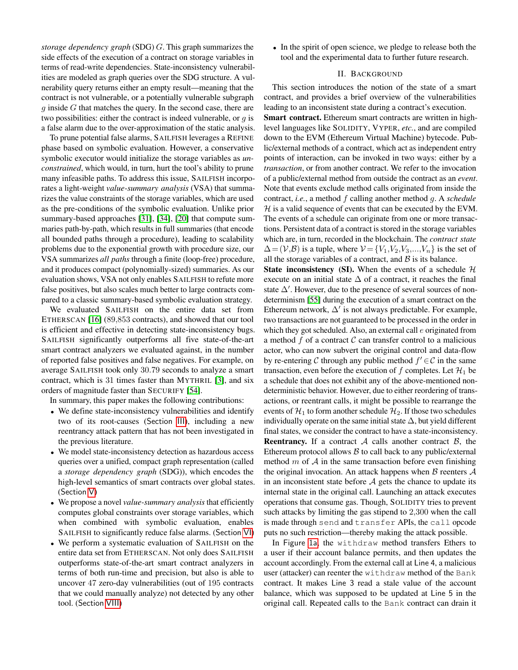*storage dependency graph* (SDG) G. This graph summarizes the side effects of the execution of a contract on storage variables in terms of read-write dependencies. State-inconsistency vulnerabilities are modeled as graph queries over the SDG structure. A vulnerability query returns either an empty result—meaning that the contract is not vulnerable, or a potentially vulnerable subgraph  $q$  inside  $G$  that matches the query. In the second case, there are two possibilities: either the contract is indeed vulnerable, or  $q$  is a false alarm due to the over-approximation of the static analysis.

To prune potential false alarms, SAILFISH leverages a REFINE phase based on symbolic evaluation. However, a conservative symbolic executor would initialize the storage variables as *unconstrained*, which would, in turn, hurt the tool's ability to prune many infeasible paths. To address this issue, SAILFISH incorporates a light-weight *value-summary analysis* (VSA) that summarizes the value constraints of the storage variables, which are used as the pre-conditions of the symbolic evaluation. Unlike prior summary-based approaches [\[31\]](#page-14-16), [\[34\]](#page-14-17), [\[20\]](#page-14-18) that compute summaries path-by-path, which results in full summaries (that encode all bounded paths through a procedure), leading to scalability problems due to the exponential growth with procedure size, our VSA summarizes *all paths* through a finite (loop-free) procedure, and it produces compact (polynomially-sized) summaries. As our evaluation shows, VSA not only enables SAILFISH to refute more false positives, but also scales much better to large contracts compared to a classic summary-based symbolic evaluation strategy.

We evaluated SAILFISH on the entire data set from ETHERSCAN [\[16\]](#page-14-0) (89,853 contracts), and showed that our tool is efficient and effective in detecting state-inconsistency bugs. SAILFISH significantly outperforms all five state-of-the-art smart contract analyzers we evaluated against, in the number of reported false positives and false negatives. For example, on average SAILFISH took only 30.79 seconds to analyze a smart contract, which is 31 times faster than MYTHRIL [\[3\]](#page-14-13), and six orders of magnitude faster than SECURIFY [\[54\]](#page-15-1).

In summary, this paper makes the following contributions:

- We define state-inconsistency vulnerabilities and identify two of its root-causes (Section [III](#page-2-0)), including a new reentrancy attack pattern that has not been investigated in the previous literature.
- We model state-inconsistency detection as hazardous access queries over a unified, compact graph representation (called a *storage dependency graph* (SDG)), which encodes the high-level semantics of smart contracts over global states. (Section [V](#page-5-0))
- We propose a novel *value-summary analysis* that efficiently computes global constraints over storage variables, which when combined with symbolic evaluation, enables SAILFISH to significantly reduce false alarms. (Section [VI](#page-7-0))
- We perform a systematic evaluation of SAILFISH on the entire data set from ETHERSCAN. Not only does SAILFISH outperforms state-of-the-art smart contract analyzers in terms of both run-time and precision, but also is able to uncover 47 zero-day vulnerabilities (out of 195 contracts that we could manually analyze) not detected by any other tool. (Section [VIII](#page-10-0))

• In the spirit of open science, we pledge to release both the tool and the experimental data to further future research.

# II. BACKGROUND

<span id="page-1-0"></span>This section introduces the notion of the state of a smart contract, and provides a brief overview of the vulnerabilities leading to an inconsistent state during a contract's execution.

Smart contract. Ethereum smart contracts are written in highlevel languages like SOLIDITY, VYPER, *etc.*, and are compiled down to the EVM (Ethereum Virtual Machine) bytecode. Public/external methods of a contract, which act as independent entry points of interaction, can be invoked in two ways: either by a *transaction*, or from another contract. We refer to the invocation of a public/external method from outside the contract as an *event*. Note that events exclude method calls originated from inside the contract, *i.e.*, a method f calling another method g. A *schedule*  $H$  is a valid sequence of events that can be executed by the EVM. The events of a schedule can originate from one or more transactions. Persistent data of a contract is stored in the storage variables which are, in turn, recorded in the blockchain. The *contract state*  $\Delta = (V, \mathcal{B})$  is a tuple, where  $V = \{V_1, V_2, V_3, \dots, V_n\}$  is the set of all the storage variables of a contract, and  $\beta$  is its balance.

State inconsistency (SI). When the events of a schedule  $H$ execute on an initial state  $\Delta$  of a contract, it reaches the final state  $\Delta'$ . However, due to the presence of several sources of nondeterminism [\[55\]](#page-15-2) during the execution of a smart contract on the Ethereum network,  $\Delta'$  is not always predictable. For example, two transactions are not guaranteed to be processed in the order in which they got scheduled. Also, an external call e originated from a method  $f$  of a contract  $\mathcal C$  can transfer control to a malicious actor, who can now subvert the original control and data-flow by re-entering C through any public method  $f' \in \mathcal{C}$  in the same transaction, even before the execution of f completes. Let  $\mathcal{H}_1$  be a schedule that does not exhibit any of the above-mentioned nondeterministic behavior. However, due to either reordering of transactions, or reentrant calls, it might be possible to rearrange the events of  $\mathcal{H}_1$  to form another schedule  $\mathcal{H}_2$ . If those two schedules individually operate on the same initial state  $\Delta$ , but yield different final states, we consider the contract to have a state-inconsistency. **Reentrancy.** If a contract  $A$  calls another contract  $B$ , the Ethereum protocol allows  $B$  to call back to any public/external method  $m$  of  $A$  in the same transaction before even finishing the original invocation. An attack happens when  $\beta$  reenters  $\mathcal A$ in an inconsistent state before  $A$  gets the chance to update its internal state in the original call. Launching an attack executes operations that consume gas. Though, SOLIDITY tries to prevent such attacks by limiting the gas stipend to 2,300 when the call is made through send and transfer APIs, the call opcode puts no such restriction—thereby making the attack possible.

In Figure [1a](#page-2-1), the withdraw method transfers Ethers to a user if their account balance permits, and then updates the account accordingly. From the external call at Line 4, a malicious user (attacker) can reenter the withdraw method of the Bank contract. It makes Line 3 read a stale value of the account balance, which was supposed to be updated at Line 5 in the original call. Repeated calls to the Bank contract can drain it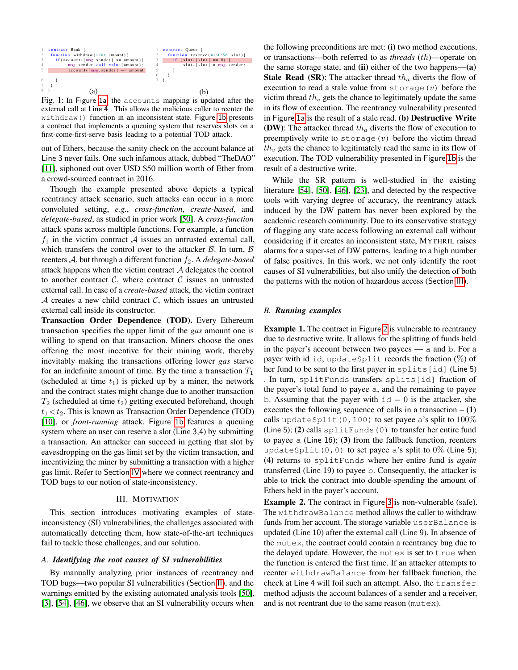<span id="page-2-1"></span>

Fig. 1: In Figure [1a](#page-2-1), the accounts mapping is updated after the external call at Line 4 . This allows the malicious caller to reenter the withdraw() function in an inconsistent state. Figure [1b](#page-2-1) presents a contract that implements a queuing system that reserves slots on a first-come-first-serve basis leading to a potential TOD attack.

out of Ethers, because the sanity check on the account balance at Line 3 never fails. One such infamous attack, dubbed "TheDAO" [\[11\]](#page-14-7), siphoned out over USD \$50 million worth of Ether from a crowd-sourced contract in 2016.

Though the example presented above depicts a typical reentrancy attack scenario, such attacks can occur in a more convoluted setting, *e.g.*, *cross-function*, *create-based*, and *delegate-based*, as studied in prior work [\[50\]](#page-14-11). A *cross-function* attack spans across multiple functions. For example, a function  $f_1$  in the victim contract A issues an untrusted external call, which transfers the control over to the attacker  $\beta$ . In turn,  $\beta$ reenters A, but through a different function  $f_2$ . A *delegate-based* attack happens when the victim contract  $A$  delegates the control to another contract  $C$ , where contract  $C$  issues an untrusted external call. In case of a *create-based* attack, the victim contract  $A$  creates a new child contract  $C$ , which issues an untrusted external call inside its constructor.

Transaction Order Dependence (TOD). Every Ethereum transaction specifies the upper limit of the *gas* amount one is willing to spend on that transaction. Miners choose the ones offering the most incentive for their mining work, thereby inevitably making the transactions offering lower *gas* starve for an indefinite amount of time. By the time a transaction  $T_1$ (scheduled at time  $t_1$ ) is picked up by a miner, the network and the contract states might change due to another transaction  $T_2$  (scheduled at time  $t_2$ ) getting executed beforehand, though  $t_1 < t_2$ . This is known as Transaction Order Dependence (TOD) [\[10\]](#page-14-19), or *front-running* attack. Figure [1b](#page-2-1) features a queuing system where an user can reserve a slot (Line 3,4) by submitting a transaction. An attacker can succeed in getting that slot by eavesdropping on the gas limit set by the victim transaction, and incentivizing the miner by submitting a transaction with a higher gas limit. Refer to Section [IV](#page-4-0) where we connect reentrancy and TOD bugs to our notion of state-inconsistency.

#### III. MOTIVATION

<span id="page-2-0"></span>This section introduces motivating examples of stateinconsistency (SI) vulnerabilities, the challenges associated with automatically detecting them, how state-of-the-art techniques fail to tackle those challenges, and our solution.

#### *A. Identifying the root causes of SI vulnerabilities*

By manually analyzing prior instances of reentrancy and TOD bugs—two popular SI vulnerabilities (Section [II](#page-1-0)), and the warnings emitted by the existing automated analysis tools [\[50\]](#page-14-11), [\[3\]](#page-14-13), [\[54\]](#page-15-1), [\[46\]](#page-14-14), we observe that an SI vulnerability occurs when

the following preconditions are met: (i) two method executions, or transactions—both referred to as *threads* (th)—operate on the same storage state, and  $(ii)$  either of the two happens— $(a)$ **Stale Read (SR):** The attacker thread  $th_a$  diverts the flow of execution to read a stale value from  $stronge(v)$  before the victim thread  $th_v$  gets the chance to legitimately update the same in its flow of execution. The reentrancy vulnerability presented in Figure [1a](#page-2-1) is the result of a stale read. (b) Destructive Write (DW): The attacker thread  $th_a$  diverts the flow of execution to preemptively write to storage  $(v)$  before the victim thread  $th<sub>v</sub>$  gets the chance to legitimately read the same in its flow of execution. The TOD vulnerability presented in Figure [1b](#page-2-1) is the result of a destructive write.

While the SR pattern is well-studied in the existing literature [\[54\]](#page-15-1), [\[50\]](#page-14-11), [\[46\]](#page-14-14), [\[23\]](#page-14-20), and detected by the respective tools with varying degree of accuracy, the reentrancy attack induced by the DW pattern has never been explored by the academic research community. Due to its conservative strategy of flagging any state access following an external call without considering if it creates an inconsistent state, MYTHRIL raises alarms for a super-set of DW patterns, leading to a high number of false positives. In this work, we not only identify the root causes of SI vulnerabilities, but also unify the detection of both the patterns with the notion of hazardous access (Section [III](#page-2-0)).

# *B. Running examples*

Example 1. The contract in Figure [2](#page-3-0) is vulnerable to reentrancy due to destructive write. It allows for the splitting of funds held in the payer's account between two payees — a and b. For a payer with id id, updateSplit records the fraction  $(\%)$  of her fund to be sent to the first payer in splits [id] (Line 5) . In turn, splitFunds transfers splits[id] fraction of the payer's total fund to payee a, and the remaining to payee b. Assuming that the payer with  $id = 0$  is the attacker, she executes the following sequence of calls in a transaction  $- (1)$ calls updateSplit(0,100) to set payee a's split to  $100\%$ (Line 5); (2) calls  $splitFunds(0)$  to transfer her entire fund to payee a (Line 16); (3) from the fallback function, reenters updateSplit(0,0) to set payee a's split to  $0\%$  (Line 5); (4) returns to splitFunds where her entire fund is *again* transferred (Line 19) to payee b. Consequently, the attacker is able to trick the contract into double-spending the amount of Ethers held in the payer's account.

Example 2. The contract in Figure [3](#page-3-1) is non-vulnerable (safe). The withdrawBalance method allows the caller to withdraw funds from her account. The storage variable userBalance is updated (Line 10) after the external call (Line 9). In absence of the mutex, the contract could contain a reentrancy bug due to the delayed update. However, the mutex is set to true when the function is entered the first time. If an attacker attempts to reenter withdrawBalance from her fallback function, the check at Line 4 will foil such an attempt. Also, the transfer method adjusts the account balances of a sender and a receiver, and is not reentrant due to the same reason (mutex).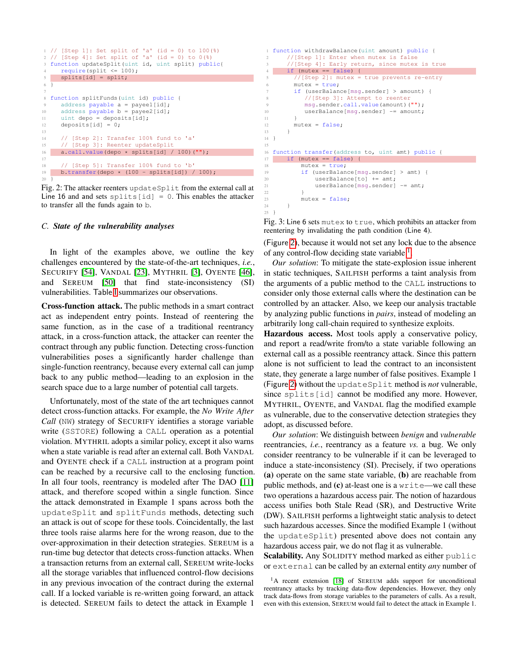```
1 // [Step 1]: Set split of 'a' (id = 0) to 100(%)
2 // [Step 4]: Set split of 'a' (id = 0) to 0(%)
  function updateSplit(uint id, uint split) public{
      require(split \leq 100);splits[id] = split;6 }
  function splitFunds(uint id) public {
      address payable a = pagee1=id;10 address payable b = \text{page2}[id];
11 uint depo = deposits[id];
12 deposits[id] = 0;
13
14 // [Step 2]: Transfer 100% fund to 'a'
15 // [Step 3]: Reenter updateSplit<br>16 a.call.value(depo * splits[id] /
      a.call.value(depo * splits[id] / 100)("");
17
18 // [Step 5]: Transfer 100% fund to 'b'
19 b.transfer(depo * (100 - splits[id]) / 100);
20 }
```
Fig. 2: The attacker reenters updateSplit from the external call at Line 16 and and sets splits  $id$  = 0. This enables the attacker to transfer all the funds again to b.

#### *C. State of the vulnerability analyses*

In light of the examples above, we outline the key challenges encountered by the state-of-the-art techniques, *i.e.*, SECURIFY [\[54\]](#page-15-1), VANDAL [\[23\]](#page-14-20), MYTHRIL [\[3\]](#page-14-13), OYENTE [\[46\]](#page-14-14), and SEREUM [\[50\]](#page-14-11) that find state-inconsistency (SI) vulnerabilities. Table [I](#page-4-1) summarizes our observations.

Cross-function attack. The public methods in a smart contract act as independent entry points. Instead of reentering the same function, as in the case of a traditional reentrancy attack, in a cross-function attack, the attacker can reenter the contract through any public function. Detecting cross-function vulnerabilities poses a significantly harder challenge than single-function reentrancy, because every external call can jump back to any public method—leading to an explosion in the search space due to a large number of potential call targets.

Unfortunately, most of the state of the art techniques cannot detect cross-function attacks. For example, the *No Write After Call* (NW) strategy of SECURIFY identifies a storage variable write (SSTORE) following a CALL operation as a potential violation. MYTHRIL adopts a similar policy, except it also warns when a state variable is read after an external call. Both VANDAL and OYENTE check if a CALL instruction at a program point can be reached by a recursive call to the enclosing function. In all four tools, reentrancy is modeled after The DAO [\[11\]](#page-14-7) attack, and therefore scoped within a single function. Since the attack demonstrated in Example 1 spans across both the updateSplit and splitFunds methods, detecting such an attack is out of scope for these tools. Coincidentally, the last three tools raise alarms here for the wrong reason, due to the over-approximation in their detection strategies. SEREUM is a run-time bug detector that detects cross-function attacks. When a transaction returns from an external call, SEREUM write-locks all the storage variables that influenced control-flow decisions in any previous invocation of the contract during the external call. If a locked variable is re-written going forward, an attack is detected. SEREUM fails to detect the attack in Example 1

```
function withdrawBalance(uint amount) public {
      //[Step 1]: Enter when mutex is false
      //[Step 4]: Early return, since mutex is true
  4 if (mutex == false) {
        5 //[Step 2]: mutex = true prevents re-entry
        mutex = true;
        7 if (userBalance[msg.sender] > amount) {
           8 //[Step 3]: Attempt to reenter
          msg.sender.call.value(amount)("");
10 userBalance[msq.sender] -= amount;
\overline{11}12 mutex = false;
13 }
14 }
\frac{15}{16}function transfer(address to, uint amt) public {
17 if (mutex == false) {
18 mutex = true;
19 if (userBalance[msg.sender] > amt) {
20 userBalance[to] += amt;
21 userBalance[msg.sender] -= amt;
22 }
23 mutex = false;
24 }
25 }
```
Fig. 3: Line 6 sets mutex to true, which prohibits an attacker from reentering by invalidating the path condition (Line 4).

(Figure [2](#page-3-0)), because it would not set any lock due to the absence of any control-flow deciding state variable  $<sup>1</sup>$  $<sup>1</sup>$  $<sup>1</sup>$ .</sup>

*Our solution*: To mitigate the state-explosion issue inherent in static techniques, SAILFISH performs a taint analysis from the arguments of a public method to the CALL instructions to consider only those external calls where the destination can be controlled by an attacker. Also, we keep our analysis tractable by analyzing public functions in *pairs*, instead of modeling an arbitrarily long call-chain required to synthesize exploits.

Hazardous access. Most tools apply a conservative policy, and report a read/write from/to a state variable following an external call as a possible reentrancy attack. Since this pattern alone is not sufficient to lead the contract to an inconsistent state, they generate a large number of false positives. Example 1 (Figure [2](#page-3-0)) without the updateSplit method is *not* vulnerable, since splits [id] cannot be modified any more. However, MYTHRIL, OYENTE, and VANDAL flag the modified example as vulnerable, due to the conservative detection strategies they adopt, as discussed before.

*Our solution*: We distinguish between *benign* and *vulnerable* reentrancies, *i.e.*, reentrancy as a feature *vs.* a bug. We only consider reentrancy to be vulnerable if it can be leveraged to induce a state-inconsistency (SI). Precisely, if two operations (a) operate on the same state variable, (b) are reachable from public methods, and  $(c)$  at-least one is a write—we call these two operations a hazardous access pair. The notion of hazardous access unifies both Stale Read (SR), and Destructive Write (DW). SAILFISH performs a lightweight static analysis to detect such hazardous accesses. Since the modified Example 1 (without the updateSplit) presented above does not contain any hazardous access pair, we do not flag it as vulnerable.

Scalability. Any SOLIDITY method marked as either public or external can be called by an external entity *any* number of

<span id="page-3-2"></span><sup>1</sup>A recent extension [\[18\]](#page-14-21) of SEREUM adds support for unconditional reentrancy attacks by tracking data-flow dependencies. However, they only track data-flows from storage variables to the parameters of calls. As a result, even with this extension, SEREUM would fail to detect the attack in Example 1.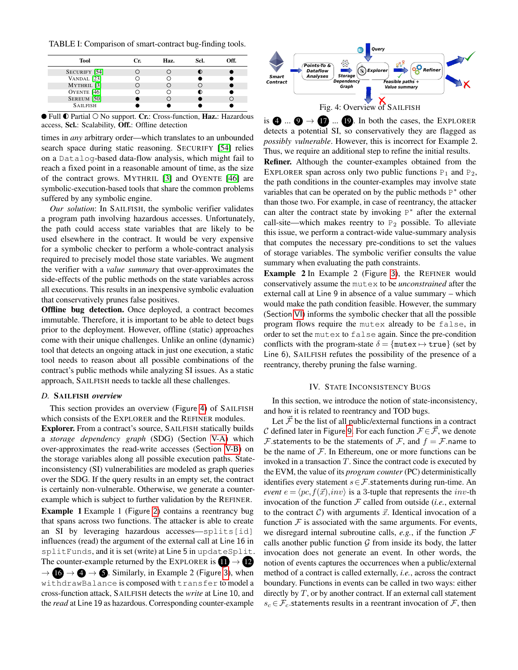<span id="page-4-1"></span>TABLE I: Comparison of smart-contract bug-finding tools.

| <b>Tool</b>            | Cr. | Haz. | Scl. | Off. |
|------------------------|-----|------|------|------|
| SECURIFY [54]          |     |      |      |      |
| VANDAL [23]            |     |      |      |      |
| MYTHRIL <sup>[3]</sup> |     |      |      |      |
| OYENTE <sup>[46]</sup> |     |      |      |      |
| SEREUM [50]            |     |      |      |      |
| <b>SAILFISH</b>        |     |      |      |      |

 $\bullet$  Full  $\bullet$  Partial  $\circ$  No support. Cr.: Cross-function, Haz.: Hazardous access, Scl.: Scalability, Off.: Offline detection

times in *any* arbitrary order—which translates to an unbounded search space during static reasoning. SECURIFY [\[54\]](#page-15-1) relies on a Datalog-based data-flow analysis, which might fail to reach a fixed point in a reasonable amount of time, as the size of the contract grows. MYTHRIL [\[3\]](#page-14-13) and OYENTE [\[46\]](#page-14-14) are symbolic-execution-based tools that share the common problems suffered by any symbolic engine.

*Our solution*: In SAILFISH, the symbolic verifier validates a program path involving hazardous accesses. Unfortunately, the path could access state variables that are likely to be used elsewhere in the contract. It would be very expensive for a symbolic checker to perform a whole-contract analysis required to precisely model those state variables. We augment the verifier with a *value summary* that over-approximates the side-effects of the public methods on the state variables across all executions. This results in an inexpensive symbolic evaluation that conservatively prunes false positives.

Offline bug detection. Once deployed, a contract becomes immutable. Therefore, it is important to be able to detect bugs prior to the deployment. However, offline (static) approaches come with their unique challenges. Unlike an online (dynamic) tool that detects an ongoing attack in just one execution, a static tool needs to reason about all possible combinations of the contract's public methods while analyzing SI issues. As a static approach, SAILFISH needs to tackle all these challenges.

# *D.* SAILFISH *overview*

This section provides an overview (Figure [4](#page-4-2)) of SAILFISH which consists of the EXPLORER and the REFINER modules.

Explorer. From a contract's source, SAILFISH statically builds a *storage dependency graph* (SDG) (Section [V-A\)](#page-5-1) which over-approximates the read-write accesses (Section [V-B\)](#page-6-0) on the storage variables along all possible execution paths. Stateinconsistency (SI) vulnerabilities are modeled as graph queries over the SDG. If the query results in an empty set, the contract is certainly non-vulnerable. Otherwise, we generate a counterexample which is subject to further validation by the REFINER. Example 1 Example 1 (Figure [2](#page-3-0)) contains a reentrancy bug that spans across two functions. The attacker is able to create an SI by leveraging hazardous accesses-splits[id] influences (read) the argument of the external call at Line 16 in splitFunds, and it is set (write) at Line 5 in updateSplit. The counter-example returned by the EXPLORER is  $11 \rightarrow 12$  $\rightarrow$  16  $\rightarrow$  4  $\rightarrow$  5. Similarly, in Example 2 (Figure [3](#page-3-1)), when withdrawBalance is composed with transfer to model a cross-function attack, SAILFISH detects the *write* at Line 10, and the *read* at Line 19 as hazardous. Corresponding counter-example

<span id="page-4-2"></span>

is  $\bigoplus$  ...  $\bigoplus$   $\rightarrow$   $\bigoplus$  ...  $\bigoplus$ . In both the cases, the EXPLORER detects a potential SI, so conservatively they are flagged as *possibly vulnerable*. However, this is incorrect for Example 2. Thus, we require an additional step to refine the initial results. Refiner. Although the counter-examples obtained from the EXPLORER span across only two public functions  $P_1$  and  $P_2$ , the path conditions in the counter-examples may involve state variables that can be operated on by the public methods P<sup>\*</sup> other than those two. For example, in case of reentrancy, the attacker can alter the contract state by invoking  $P^*$  after the external call-site—which makes reentry to  $P_2$  possible. To alleviate this issue, we perform a contract-wide value-summary analysis that computes the necessary pre-conditions to set the values of storage variables. The symbolic verifier consults the value summary when evaluating the path constraints.

Example 2 In Example 2 (Figure [3](#page-3-1)), the REFINER would conservatively assume the mutex to be *unconstrained* after the external call at Line 9 in absence of a value summary – which would make the path condition feasible. However, the summary (Section [VI](#page-7-0)) informs the symbolic checker that all the possible program flows require the mutex already to be false, in order to set the mutex to false again. Since the pre-condition conflicts with the program-state  $\delta = \{$  mutex  $\mapsto$  true} (set by Line 6), SAILFISH refutes the possibility of the presence of a reentrancy, thereby pruning the false warning.

#### IV. STATE INCONSISTENCY BUGS

<span id="page-4-0"></span>In this section, we introduce the notion of state-inconsistency, and how it is related to reentrancy and TOD bugs.

Let  $\vec{\mathcal{F}}$  be the list of all public/external functions in a contract C defined later in Figure [9](#page-8-0). For each function  $\mathcal{F} \in \vec{\mathcal{F}}$ , we denote *F* statements to be the statements of *F*, and  $f = \mathcal{F}$  name to be the name of  $F$ . In Ethereum, one or more functions can be invoked in a transaction  $T$ . Since the contract code is executed by the EVM, the value of its *program counter* (PC) deterministically identifies every statement  $s \in \mathcal{F}$ . statements during run-time. An *event*  $e = \langle pc, f(\vec{x}), inv \rangle$  is a 3-tuple that represents the *inv*-th invocation of the function  $F$  called from outside (*i.e.*, external to the contract C) with arguments  $\vec{x}$ . Identical invocation of a function  $\mathcal F$  is associated with the same arguments. For events, we disregard internal subroutine calls,  $e.g.,$  if the function  $\mathcal F$ calls another public function  $\mathcal G$  from inside its body, the latter invocation does not generate an event. In other words, the notion of events captures the occurrences when a public/external method of a contract is called externally, *i.e.*, across the contract boundary. Functions in events can be called in two ways: either directly by  $T$ , or by another contract. If an external call statement  $s_c \in \mathcal{F}_c$  statements results in a reentrant invocation of  $\mathcal{F}$ , then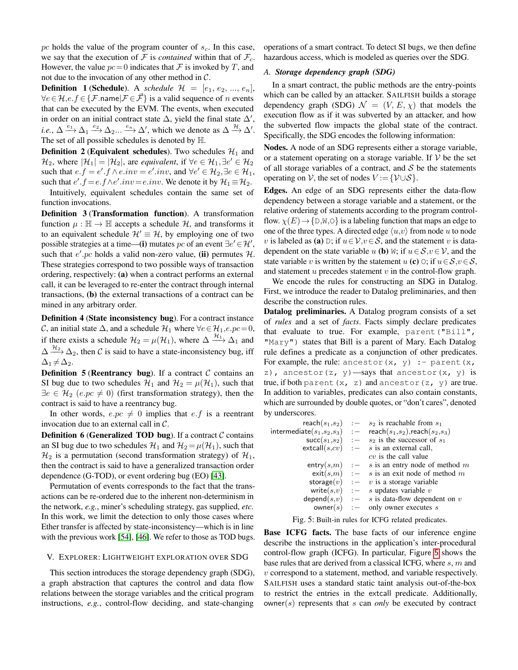pc holds the value of the program counter of  $s_c$ . In this case, we say that the execution of  $\mathcal F$  is *contained* within that of  $\mathcal F_c$ . However, the value  $pc = 0$  indicates that F is invoked by T, and not due to the invocation of any other method in  $\mathcal{C}$ .

**Definition 1 (Schedule).** A *schedule*  $\mathcal{H} = [e_1, e_2, ..., e_n],$  $\forall e \in \mathcal{H}, e.f \in \{\mathcal{F}.\text{name}|\mathcal{F} \in \vec{\mathcal{F}}\}$  is a valid sequence of *n* events that can be executed by the EVM. The events, when executed in order on an initial contract state  $\Delta$ , yield the final state  $\Delta'$ , *i.e.*,  $\Delta \xrightarrow{e_1} \Delta_1 \xrightarrow{e_2} \Delta_2 ... \xrightarrow{e_n} \Delta'$ , which we denote as  $\Delta \xrightarrow{\mathcal{H}} \Delta'$ . The set of all possible schedules is denoted by H.

**Definition 2 (Equivalent schedules).** Two schedules  $\mathcal{H}_1$  and  $\mathcal{H}_2$ , where  $|\mathcal{H}_1| = |\mathcal{H}_2|$ , are *equivalent*, if  $\forall e \in \mathcal{H}_1, \exists e' \in \mathcal{H}_2$ such that  $e.f = e'.f \wedge e.inv = e'.inv$ , and  $\forall e' \in \mathcal{H}_2, \exists e \in \mathcal{H}_1$ , such that  $e'.f = e.f \wedge e'.inv = e.inv$ . We denote it by  $\mathcal{H}_1 \equiv \mathcal{H}_2$ .

Intuitively, equivalent schedules contain the same set of function invocations.

Definition 3 (Transformation function). A transformation function  $\mu : \mathbb{H} \to \mathbb{H}$  accepts a schedule H, and transforms it to an equivalent schedule  $\mathcal{H}' \equiv \mathcal{H}$ , by employing one of two possible strategies at a time—(i) mutates pc of an event  $\exists e' \in \mathcal{H}'$ , such that  $e'$ .pc holds a valid non-zero value, (ii) permutes  $H$ . These strategies correspond to two possible ways of transaction ordering, respectively: (a) when a contract performs an external call, it can be leveraged to re-enter the contract through internal transactions, (b) the external transactions of a contract can be mined in any arbitrary order.

Definition 4 (State inconsistency bug). For a contract instance C, an initial state  $\Delta$ , and a schedule  $\mathcal{H}_1$  where  $\forall e \in \mathcal{H}_1, e, pc = 0$ , if there exists a schedule  $\mathcal{H}_2 = \mu(\mathcal{H}_1)$ , where  $\Delta \xrightarrow{\mathcal{H}_1} \Delta_1$  and  $\Delta \xrightarrow{\mathcal{H}_2} \Delta_2$ , then C is said to have a state-inconsistency bug, iff  $\Delta_1 \neq \Delta_2$ .

**Definition 5 (Reentrancy bug).** If a contract  $C$  contains an SI bug due to two schedules  $\mathcal{H}_1$  and  $\mathcal{H}_2 = \mu(\mathcal{H}_1)$ , such that  $\exists e \in \mathcal{H}_2$  (e.pc  $\neq 0$ ) (first transformation strategy), then the contract is said to have a reentrancy bug.

In other words,  $e, pc \neq 0$  implies that e.f is a reentrant invocation due to an external call in C.

**Definition 6 (Generalized TOD bug).** If a contract  $C$  contains an SI bug due to two schedules  $\mathcal{H}_1$  and  $\mathcal{H}_2 = \mu(\mathcal{H}_1)$ , such that  $\mathcal{H}_2$  is a permutation (second transformation strategy) of  $\mathcal{H}_1$ , then the contract is said to have a generalized transaction order dependence (G-TOD), or event ordering bug (EO) [\[43\]](#page-14-22).

Permutation of events corresponds to the fact that the transactions can be re-ordered due to the inherent non-determinism in the network, *e.g.*, miner's scheduling strategy, gas supplied, *etc.* In this work, we limit the detection to only those cases where Ether transfer is affected by state-inconsistency—which is in line with the previous work [\[54\]](#page-15-1), [\[46\]](#page-14-14). We refer to those as TOD bugs.

# <span id="page-5-0"></span>V. EXPLORER: LIGHTWEIGHT EXPLORATION OVER SDG

This section introduces the storage dependency graph (SDG), a graph abstraction that captures the control and data flow relations between the storage variables and the critical program instructions, *e.g.*, control-flow deciding, and state-changing

operations of a smart contract. To detect SI bugs, we then define hazardous access, which is modeled as queries over the SDG.

# <span id="page-5-1"></span>*A. Storage dependency graph (SDG)*

In a smart contract, the public methods are the entry-points which can be called by an attacker. SAILFISH builds a storage dependency graph (SDG)  $\mathcal{N} = (V, E, \chi)$  that models the execution flow as if it was subverted by an attacker, and how the subverted flow impacts the global state of the contract. Specifically, the SDG encodes the following information:

Nodes. A node of an SDG represents either a storage variable, or a statement operating on a storage variable. If  $V$  be the set of all storage variables of a contract, and  $S$  be the statements operating on V, the set of nodes  $V := \{V \cup S\}.$ 

Edges. An edge of an SDG represents either the data-flow dependency between a storage variable and a statement, or the relative ordering of statements according to the program controlflow.  $\chi(E) \rightarrow \{D,W,Q\}$  is a labeling function that maps an edge to one of the three types. A directed edge  $\langle u,v \rangle$  from node u to node v is labeled as (a) D; if  $u \in V, v \in S$ , and the statement v is datadependent on the state variable u (b) W; if  $u \in S$ ,  $v \in V$ , and the state variable v is written by the statement u (c)  $\circ$ ; if  $u \in S, v \in S$ , and statement  $u$  precedes statement  $v$  in the control-flow graph.

We encode the rules for constructing an SDG in Datalog. First, we introduce the reader to Datalog preliminaries, and then describe the construction rules.

Datalog preliminaries. A Datalog program consists of a set of *rules* and a set of *facts*. Facts simply declare predicates that evaluate to true. For example, parent("Bill", "Mary") states that Bill is a parent of Mary. Each Datalog rule defines a predicate as a conjunction of other predicates. For example, the rule: ancestor  $(x, y)$  : - parent  $(x, y)$ z), ancestor(z,  $y$ ) —says that ancestor(x,  $y$ ) is true, if both parent  $(x, z)$  and ancestor  $(z, y)$  are true. In addition to variables, predicates can also contain constants, which are surrounded by double quotes, or "don't cares", denoted by underscores.

<span id="page-5-2"></span>

| $reach(s_1, s_2)$ | $\therefore$ $s_2$ is reachable from $s_1$                                |
|-------------------|---------------------------------------------------------------------------|
|                   | intermediate $(s_1,s_2,s_3)$ : – reach $(s_1,s_2)$ , reach $(s_2,s_3)$    |
|                   | $succ(s_1, s_2)$ : - $s_2$ is the successor of $s_1$                      |
|                   | $extcall(s, cv)$ : - s is an external call,                               |
|                   | $cv$ is the call value                                                    |
|                   | entry(s,m) $\therefore$ s is an entry node of method m                    |
|                   | $\text{exit}(s,m) \quad : - \quad s \text{ is an exit node of method } m$ |
|                   | storage $(v)$ : – v is a storage variable                                 |
|                   | write $(s,v)$ : – s updates variable v                                    |
|                   | depend $(s, v)$ : – s is data-flow dependent on v                         |
|                   | $a$ owner(s) : – only owner executes s                                    |

Fig. 5: Built-in rules for ICFG related predicates.

Base ICFG facts. The base facts of our inference engine describe the instructions in the application's inter-procedural control-flow graph (ICFG). In particular, Figure [5](#page-5-2) shows the base rules that are derived from a classical ICFG, where s, m and  $v$  correspond to a statement, method, and variable respectively. SAILFISH uses a standard static taint analysis out-of-the-box to restrict the entries in the extcall predicate. Additionally, owner(s) represents that s can *only* be executed by contract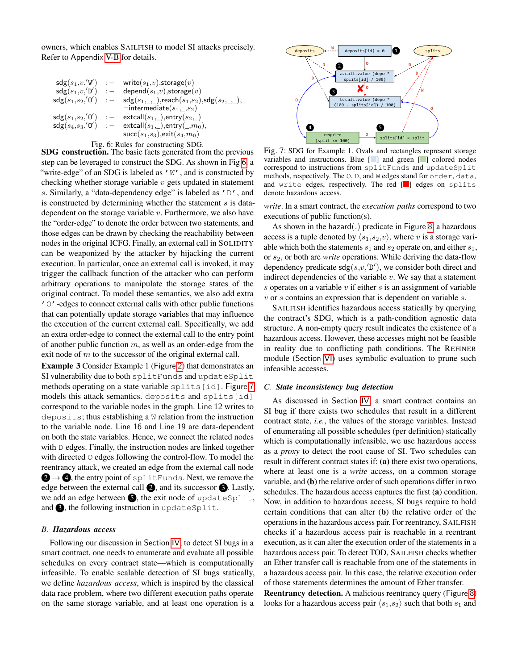owners, which enables SAILFISH to model SI attacks precisely. Refer to Appendix [V-B](#page-17-0) for details.

<span id="page-6-1"></span>sdg(s1,v,<sup>0</sup> W 0 ) :− write(s1,v),storage(v) sdg(s1,v,<sup>0</sup> D 0 ) :− depend(s1,v),storage(v) sdg(s1,s2, 0 O 0 ) :− sdg(s1,\_,\_),reach(s1,s2),sdg(s2,\_,\_), ¬intermediate(s1,\_,s2) sdg(s1,s2, 0 O 0 ) :− extcall(s1,\_),entry(s2,\_) sdg(s4,s3, 0 O 0 ) :− extcall(s1,\_),entry(\_,m0), succ(s1,s3),exit(s4,m0) Fig. 6: Rules for constructing SDG.

SDG construction. The basic facts generated from the previous step can be leveraged to construct the SDG. As shown in Fig [6,](#page-6-1) a "write-edge" of an SDG is labeled as 'W', and is constructed by checking whether storage variable  $v$  gets updated in statement s. Similarly, a "data-dependency edge" is labeled as  $' D'$ , and is constructed by determining whether the statement s is datadependent on the storage variable  $v$ . Furthermore, we also have the "order-edge" to denote the order between two statements, and those edges can be drawn by checking the reachability between nodes in the original ICFG. Finally, an external call in SOLIDITY can be weaponized by the attacker by hijacking the current execution. In particular, once an external call is invoked, it may trigger the callback function of the attacker who can perform arbitrary operations to manipulate the storage states of the original contract. To model these semantics, we also add extra 'O'-edges to connect external calls with other public functions that can potentially update storage variables that may influence the execution of the current external call. Specifically, we add an extra order-edge to connect the external call to the entry point of another public function  $m$ , as well as an order-edge from the exit node of  $m$  to the successor of the original external call.

Example 3 Consider Example 1 (Figure [2](#page-3-0)) that demonstrates an SI vulnerability due to both splitFunds and updateSplit methods operating on a state variable splits [id]. Figure [7](#page-6-2) models this attack semantics. deposits and splits[id] correspond to the variable nodes in the graph. Line 12 writes to deposits; thus establishing a W relation from the instruction to the variable node. Line 16 and Line 19 are data-dependent on both the state variables. Hence, we connect the related nodes with D edges. Finally, the instruction nodes are linked together with directed O edges following the control-flow. To model the reentrancy attack, we created an edge from the external call node  $\mathbf{2} \rightarrow \mathbf{4}$ , the entry point of splitFunds. Next, we remove the edge between the external call  $\bigcirc$ , and its successor  $\bigcirc$ . Lastly, we add an edge between  $\bigcirc$ , the exit node of updateSplit, and  $\bigcirc$ , the following instruction in updateSplit.

#### <span id="page-6-0"></span>*B. Hazardous access*

Following our discussion in Section [IV](#page-4-0), to detect SI bugs in a smart contract, one needs to enumerate and evaluate all possible schedules on every contract state—which is computationally infeasible. To enable scalable detection of SI bugs statically, we define *hazardous access*, which is inspired by the classical data race problem, where two different execution paths operate on the same storage variable, and at least one operation is a

<span id="page-6-2"></span>

Fig. 7: SDG for Example 1. Ovals and rectangles represent storage variables and instructions. Blue  $[\blacksquare]$  and green  $[\blacksquare]$  colored nodes correspond to instructions from splitFunds and updateSplit methods, respectively. The O, D, and W edges stand for order, data, and write edges, respectively. The red  $[\blacksquare]$  edges on splits denote hazardous access.

*write*. In a smart contract, the *execution paths* correspond to two executions of public function(s).

As shown in the hazard(.) predicate in Figure [8](#page-7-1), a hazardous access is a tuple denoted by  $\langle s_1,s_2,v \rangle$ , where v is a storage variable which both the statements  $s_1$  and  $s_2$  operate on, and either  $s_1$ , or s2, or both are *write* operations. While deriving the data-flow dependency predicate  $\text{sdg}(s, v, 'D')$ , we consider both direct and indirect dependencies of the variable  $v$ . We say that a statement s operates on a variable  $v$  if either  $s$  is an assignment of variable  $v$  or  $s$  contains an expression that is dependent on variable  $s$ .

SAILFISH identifies hazardous access statically by querying the contract's SDG, which is a path-condition agnostic data structure. A non-empty query result indicates the existence of a hazardous access. However, these accesses might not be feasible in reality due to conflicting path conditions. The REFINER module (Section [VI](#page-7-0)) uses symbolic evaluation to prune such infeasible accesses.

# *C. State inconsistency bug detection*

As discussed in Section [IV](#page-4-0), a smart contract contains an SI bug if there exists two schedules that result in a different contract state, *i.e.*, the values of the storage variables. Instead of enumerating all possible schedules (per definition) statically which is computationally infeasible, we use hazardous access as a *proxy* to detect the root cause of SI. Two schedules can result in different contract states if: (a) there exist two operations, where at least one is a *write* access, on a common storage variable, and (b) the relative order of such operations differ in two schedules. The hazardous access captures the first (a) condition. Now, in addition to hazardous access, SI bugs require to hold certain conditions that can alter (b) the relative order of the operations in the hazardous access pair. For reentrancy, SAILFISH checks if a hazardous access pair is reachable in a reentrant execution, as it can alter the execution order of the statements in a hazardous access pair. To detect TOD, SAILFISH checks whether an Ether transfer call is reachable from one of the statements in a hazardous access pair. In this case, the relative execution order of those statements determines the amount of Ether transfer.

Reentrancy detection. A malicious reentrancy query (Figure [8](#page-7-1)) looks for a hazardous access pair  $\langle s_1, s_2 \rangle$  such that both  $s_1$  and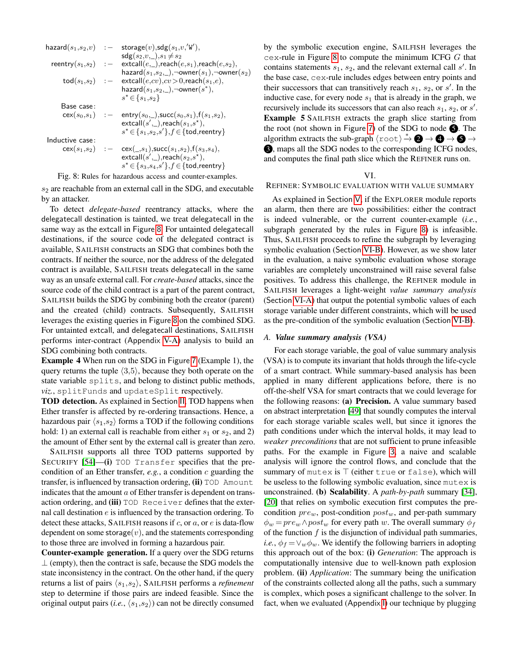<span id="page-7-1"></span>
$$
\begin{array}{ll} \textsf{hazard}(s_1,s_2,v) & := & \textsf{storage}(v),\textsf{sdg}(s_1,v',\textsf{W}'),\\ \textsf{sdg}(s_2,v,\_,),s_1\neq s_2\\ \textsf{reentry}(s_1,s_2) & := & \textsf{extcall}(e,\_,) ,\textsf{reach}(e,s_1),\textsf{reach}(e,s_2),\\ \textsf{hazard}(s_1,s_2,\_,) \neg \textsf{owner}(s_1), \neg \textsf{owner}(s_2)\\ \textsf{tod}(s_1,s_2) & := & \textsf{extcall}(e,cv), c v > 0 ,\textsf{reach}(s_1,e),\\ \textsf{hazard}(s_1,s_2,\_,) \neg \textsf{owner}(s^*),\\ s^* \in \{s_1,s_2\}\\ \textsf{Base case:}\\ \textsf{cex}(s_0,s_1) & := & \textsf{entry}(s_0,\_,) ,\textsf{succ}(s_0,s_1), f(s_1,s_2),\\ \textsf{extcall}(s',\_,) ,\textsf{reach}(s_1,s^*),\\ s^* \in \{s_1,s_2,s'\}, f \in \{\textsf{tod},\textsf{reentry}\}\\ \textsf{Inductive case:}\\ \textsf{cex}(s_1,s_2) & := & \textsf{cex}(\_,s_1),\textsf{succ}(s_1,s_2), f(s_3,s_4),\\ \textsf{extcall}(s',\_,) ,\textsf{reach}(s_2,s^*),\\ s^* \in \{s_3,s_4,s'\}, f \in \{\textsf{tod},\textsf{reentry}\} \end{array}
$$

Fig. 8: Rules for hazardous access and counter-examples.

 $s_2$  are reachable from an external call in the SDG, and executable by an attacker.

To detect *delegate-based* reentrancy attacks, where the delegatecall destination is tainted, we treat delegatecall in the same way as the extcall in Figure [8](#page-7-1). For untainted delegatecall destinations, if the source code of the delegated contract is available, SAILFISH constructs an SDG that combines both the contracts. If neither the source, nor the address of the delegated contract is available, SAILFISH treats delegatecall in the same way as an unsafe external call. For *create-based* attacks, since the source code of the child contract is a part of the parent contract, SAILFISH builds the SDG by combining both the creator (parent) and the created (child) contracts. Subsequently, SAILFISH leverages the existing queries in Figure [8](#page-7-1) on the combined SDG. For untainted extcall, and delegatecall destinations, SAILFISH performs inter-contract (Appendix [V-A\)](#page-17-1) analysis to build an SDG combining both contracts.

Example 4 When run on the SDG in Figure [7](#page-6-2) (Example 1), the query returns the tuple  $\langle 3,5 \rangle$ , because they both operate on the state variable splits, and belong to distinct public methods, *viz.*, splitFunds and updateSplit respectively.

TOD detection. As explained in Section [II](#page-1-0), TOD happens when Ether transfer is affected by re-ordering transactions. Hence, a hazardous pair  $\langle s_1,s_2 \rangle$  forms a TOD if the following conditions hold: 1) an external call is reachable from either  $s_1$  or  $s_2$ , and 2) the amount of Ether sent by the external call is greater than zero.

SAILFISH supports all three TOD patterns supported by SECURIFY [\[54\]](#page-15-1)—(i) TOD Transfer specifies that the precondition of an Ether transfer, *e.g.*, a condition c guarding the transfer, is influenced by transaction ordering, (ii) TOD Amount indicates that the amount  $a$  of Ether transfer is dependent on transaction ordering, and (iii) TOD Receiver defines that the external call destination  $e$  is influenced by the transaction ordering. To detect these attacks, SAILFISH reasons if  $c$ , or  $a$ , or  $e$  is data-flow dependent on some storage $(v)$ , and the statements corresponding to those three are involved in forming a hazardous pair.

Counter-example generation. If a query over the SDG returns  $\perp$  (empty), then the contract is safe, because the SDG models the state inconsistency in the contract. On the other hand, if the query returns a list of pairs  $\langle s_1, s_2 \rangle$ , SAILFISH performs a *refinement* step to determine if those pairs are indeed feasible. Since the original output pairs (*i.e.*,  $\langle s_1, s_2 \rangle$ ) can not be directly consumed by the symbolic execution engine, SAILFISH leverages the  $c$ ex-rule in Figure [8](#page-7-1) to compute the minimum ICFG  $G$  that contains statements  $s_1$ ,  $s_2$ , and the relevant external call  $s'$ . In the base case, cex-rule includes edges between entry points and their successors that can transitively reach  $s_1$ ,  $s_2$ , or  $s'$ . In the inductive case, for every node  $s_1$  that is already in the graph, we recursively include its successors that can also reach  $s_1$ ,  $s_2$ , or  $s'$ . Example 5 SAILFISH extracts the graph slice starting from the root (not shown in Figure [7](#page-6-2)) of the SDG to node  $\bigcirc$ . The algorithm extracts the sub-graph  $\langle$  root $\rangle \stackrel{*}{\rightarrow} \bigotimes \rightarrow \bigotimes \rightarrow \bigotimes$  $\bullet$ , maps all the SDG nodes to the corresponding ICFG nodes, and computes the final path slice which the REFINER runs on.

#### VI.

# <span id="page-7-0"></span>REFINER: SYMBOLIC EVALUATION WITH VALUE SUMMARY

As explained in Section [V](#page-5-0), if the EXPLORER module reports an alarm, then there are two possibilities: either the contract is indeed vulnerable, or the current counter-example (*i.e.*, subgraph generated by the rules in Figure [8](#page-7-1)) is infeasible. Thus, SAILFISH proceeds to refine the subgraph by leveraging symbolic evaluation (Section [VI-B\)](#page-9-0). However, as we show later in the evaluation, a naive symbolic evaluation whose storage variables are completely unconstrained will raise several false positives. To address this challenge, the REFINER module in SAILFISH leverages a light-weight *value summary analysis* (Section [VI-A\)](#page-7-2) that output the potential symbolic values of each storage variable under different constraints, which will be used as the pre-condition of the symbolic evaluation (Section [VI-B\)](#page-9-0).

# <span id="page-7-2"></span>*A. Value summary analysis (VSA)*

For each storage variable, the goal of value summary analysis (VSA) is to compute its invariant that holds through the life-cycle of a smart contract. While summary-based analysis has been applied in many different applications before, there is no off-the-shelf VSA for smart contracts that we could leverage for the following reasons: (a) Precision. A value summary based on abstract interpretation [\[49\]](#page-14-23) that soundly computes the interval for each storage variable scales well, but since it ignores the path conditions under which the interval holds, it may lead to *weaker preconditions* that are not sufficient to prune infeasible paths. For the example in Figure [3](#page-3-1), a naive and scalable analysis will ignore the control flows, and conclude that the summary of mutex is  $\top$  (either true or false), which will be useless to the following symbolic evaluation, since mutex is unconstrained. (b) Scalability. A *path-by-path* summary [\[34\]](#page-14-17), [\[20\]](#page-14-18) that relies on symbolic execution first computes the precondition  $pre_w$ , post-condition  $post_w$ , and per-path summary  $\phi_w = pre_w \wedge post_w$  for every path w. The overall summary  $\phi_f$ of the function  $f$  is the disjunction of individual path summaries, *i.e.*,  $\phi_f = \vee_w \phi_w$ . We identify the following barriers in adopting this approach out of the box: (i) *Generation*: The approach is computationally intensive due to well-known path explosion problem. (ii) *Application*: The summary being the unification of the constraints collected along all the paths, such a summary is complex, which poses a significant challenge to the solver. In fact, when we evaluated (Appendix [I](#page-15-3)) our technique by plugging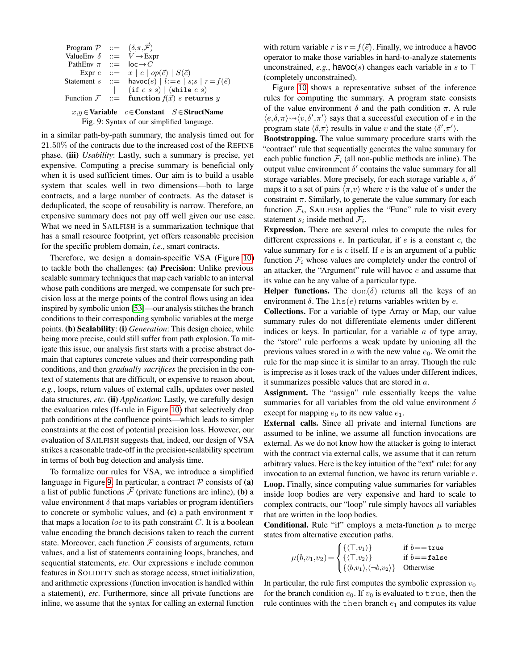```
Program \mathcal{P} ::= (\delta, \pi, \mathcal{F})ValueEnv \delta ::= V \rightarrowExpr
 PathEnv \pi ::= loc \rightarrow C
       Expr e ::= x \mid c \mid op(\vec{e}) \mid S(\vec{e})Statement s ::= havoc(s) | l := e | s; s | r = f(\vec{e})(\texttt{if}~e~s~s) \mid (\texttt{while}~e~s)Function \mathcal{F} ::= function f(\vec{x}) s returns y
   x,y \in \mathbf{Variable} \quad c \in \mathbf{Constant} \quad S \in \mathbf{StructName}
```
Fig. 9: Syntax of our simplified language.

in a similar path-by-path summary, the analysis timed out for 21.50% of the contracts due to the increased cost of the REFINE phase. (iii) *Usability*: Lastly, such a summary is precise, yet expensive. Computing a precise summary is beneficial only when it is used sufficient times. Our aim is to build a usable system that scales well in two dimensions—both to large contracts, and a large number of contracts. As the dataset is deduplicated, the scope of reusability is narrow. Therefore, an expensive summary does not pay off well given our use case. What we need in SAILFISH is a summarization technique that has a small resource footprint, yet offers reasonable precision for the specific problem domain, *i.e.*, smart contracts.

Therefore, we design a domain-specific VSA (Figure [10](#page-9-1)) to tackle both the challenges: (a) Precision: Unlike previous scalable summary techniques that map each variable to an interval whose path conditions are merged, we compensate for such precision loss at the merge points of the control flows using an idea inspired by symbolic union [\[53\]](#page-15-4)—our analysis stitches the branch conditions to their corresponding symbolic variables at the merge points. (b) Scalability: (i) *Generation*: This design choice, while being more precise, could still suffer from path explosion. To mitigate this issue, our analysis first starts with a precise abstract domain that captures concrete values and their corresponding path conditions, and then *gradually sacrifices* the precision in the context of statements that are difficult, or expensive to reason about, *e.g.*, loops, return values of external calls, updates over nested data structures, *etc.* (ii) *Application*: Lastly, we carefully design the evaluation rules (If-rule in Figure [10](#page-9-1)) that selectively drop path conditions at the confluence points—which leads to simpler constraints at the cost of potential precision loss. However, our evaluation of SAILFISH suggests that, indeed, our design of VSA strikes a reasonable trade-off in the precision-scalability spectrum in terms of both bug detection and analysis time.

To formalize our rules for VSA, we introduce a simplified language in Figure [9](#page-8-0). In particular, a contract  $P$  consists of (a) a list of public functions  $\mathcal F$  (private functions are inline), (b) a value environment  $\delta$  that maps variables or program identifiers to concrete or symbolic values, and (c) a path environment  $\pi$ that maps a location  $loc$  to its path constraint  $C$ . It is a boolean value encoding the branch decisions taken to reach the current state. Moreover, each function  $F$  consists of arguments, return values, and a list of statements containing loops, branches, and sequential statements, *etc.* Our expressions e include common features in SOLIDITY such as storage access, struct initialization, and arithmetic expressions (function invocation is handled within a statement), *etc.* Furthermore, since all private functions are inline, we assume that the syntax for calling an external function

with return variable r is  $r = f(\vec{e})$ . Finally, we introduce a havoc operator to make those variables in hard-to-analyze statements unconstrained, *e.g.*, havoc(*s*) changes each variable in *s* to  $\top$ (completely unconstrained).

Figure [10](#page-9-1) shows a representative subset of the inference rules for computing the summary. A program state consists of the value environment  $\delta$  and the path condition  $\pi$ . A rule  $\langle e, \delta, \pi \rangle \rightsquigarrow \langle v, \delta', \pi' \rangle$  says that a successful execution of e in the program state  $\langle \delta, \pi \rangle$  results in value v and the state  $\langle \delta', \pi' \rangle$ .

Bootstrapping. The value summary procedure starts with the "contract" rule that sequentially generates the value summary for each public function  $\mathcal{F}_i$  (all non-public methods are inline). The output value environment  $\delta'$  contains the value summary for all storage variables. More precisely, for each storage variable  $s$ ,  $\delta'$ maps it to a set of pairs  $\langle \pi,v \rangle$  where v is the value of s under the constraint  $\pi$ . Similarly, to generate the value summary for each function  $\mathcal{F}_i$ , SAILFISH applies the "Func" rule to visit every statement  $s_i$  inside method  $\mathcal{F}_i$ .

Expression. There are several rules to compute the rules for different expressions  $e$ . In particular, if  $e$  is a constant  $c$ , the value summary for  $e$  is  $c$  itself. If  $e$  is an argument of a public function  $\mathcal{F}_i$  whose values are completely under the control of an attacker, the "Argument" rule will havoc e and assume that its value can be any value of a particular type.

**Helper functions.** The dom( $\delta$ ) returns all the keys of an environment  $\delta$ . The lhs(e) returns variables written by e.

Collections. For a variable of type Array or Map, our value summary rules do not differentiate elements under different indices or keys. In particular, for a variable  $a$  of type array, the "store" rule performs a weak update by unioning all the previous values stored in  $\alpha$  with the new value  $e_0$ . We omit the rule for the map since it is similar to an array. Though the rule is imprecise as it loses track of the values under different indices, it summarizes possible values that are stored in a.

Assignment. The "assign" rule essentially keeps the value summaries for all variables from the old value environment  $\delta$ except for mapping  $e_0$  to its new value  $e_1$ .

External calls. Since all private and internal functions are assumed to be inline, we assume all function invocations are external. As we do not know how the attacker is going to interact with the contract via external calls, we assume that it can return arbitrary values. Here is the key intuition of the "ext" rule: for any invocation to an external function, we havoc its return variable r. Loop. Finally, since computing value summaries for variables inside loop bodies are very expensive and hard to scale to complex contracts, our "loop" rule simply havocs all variables that are written in the loop bodies.

**Conditional.** Rule "if" employs a meta-function  $\mu$  to merge states from alternative execution paths.

$$
\mu(b, v_1, v_2) = \begin{cases} \{ \langle \top, v_1 \rangle \} & \text{if } b = \text{true} \\ \{ \langle \top, v_2 \rangle \} & \text{if } b = \text{false} \\ \{ \langle b, v_1 \rangle, \langle \neg b, v_2 \rangle \} & \text{Otherwise} \end{cases}
$$

In particular, the rule first computes the symbolic expression  $v_0$ for the branch condition  $e_0$ . If  $v_0$  is evaluated to true, then the rule continues with the then branch  $e_1$  and computes its value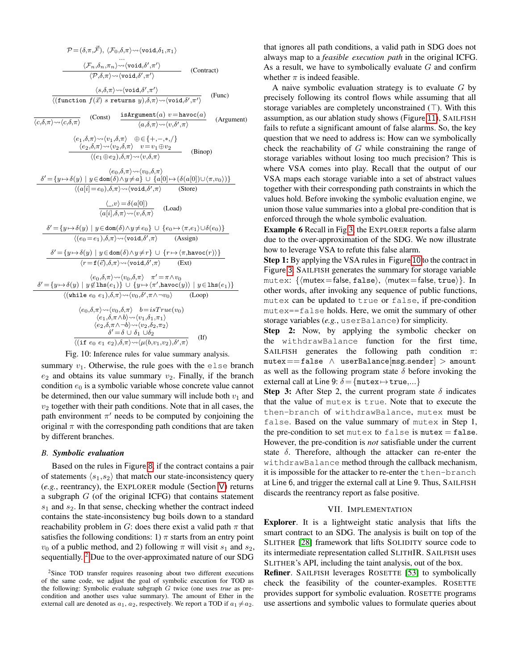<span id="page-9-1"></span>
$$
\mathcal{P} = (\delta, \pi, \vec{F}), \langle \mathcal{F}_0, \delta, \pi \rangle \rightsquigarrow \langle \text{void}, \delta_1, \pi_1 \rangle
$$
\n
$$
\frac{\langle \mathcal{F}_n, \delta_n, \pi_n \rangle \rightsquigarrow \langle \text{void}, \delta', \pi' \rangle}{\langle \mathcal{P}, \delta, \pi \rangle \rightsquigarrow \langle \text{void}, \delta', \pi' \rangle}
$$
\n(Contract)\n
$$
\frac{\langle s, \delta, \pi \rangle \rightsquigarrow \langle \text{void}, \delta', \pi' \rangle}{\langle (\text{function } f(\vec{x}) \ s \ \text{returns } y), \delta, \pi \rangle \rightsquigarrow \langle \text{void}, \delta', \pi' \rangle}
$$
\n(Func)\n
$$
\frac{\langle s, \delta, \pi \rangle \rightsquigarrow \langle \text{void}, \delta', \pi' \rangle}{\langle (a, \delta, \pi) \rightsquigarrow \langle \text{void}, \delta', \pi \rangle}
$$
\n(Further)\n
$$
\frac{\langle e_1, \delta, \pi \rangle \rightsquigarrow \langle v_1, \delta, \pi \rangle \oplus \{ \xi_1, \dots, \pi, \pi \} \}}{\langle e_2, \delta, \pi \rangle \rightsquigarrow \langle v_2, \delta, \pi \rangle \cup \{ v_1, \delta, \pi \} \rangle}
$$
\n(Argument)\n
$$
\frac{\langle e_1, \delta, \pi \rangle \rightsquigarrow \langle v_1, \delta, \pi \rangle \oplus \{ \xi_1, \dots, \pi, \pi \} \}}{\langle (a_1 \oplus e_2), \delta, \pi \rangle \rightsquigarrow \langle v_0, \delta, \pi \rangle}
$$
\n(Binop)\n
$$
\frac{\langle e_0, \delta, \pi \rangle \rightsquigarrow \langle v_0, \delta, \pi \rangle}{\langle (a[i] = e_0), \delta, \pi \rangle \rightsquigarrow \langle v_0, \delta, \pi \rangle}
$$
\n(More)\n
$$
\frac{\langle \mathcal{F}_0 \rangle = \delta(a[0])}{\langle a[i], \delta, \pi \rangle \rightsquigarrow \langle v_0, \delta, \pi \rangle}
$$
\n(Local)\n
$$
\frac{\delta' = \{ y \mapsto \delta(y) \mid y \in \text{dom}(\delta) \land y \neq e_0 \} \cup \{ e_0 \mapsto \langle \pi, e_1 \rangle
$$

Fig. 10: Inference rules for value summary analysis.

summary  $v_1$ . Otherwise, the rule goes with the else branch  $e_2$  and obtains its value summary  $v_2$ . Finally, if the branch condition  $e_0$  is a symbolic variable whose concrete value cannot be determined, then our value summary will include both  $v_1$  and  $v<sub>2</sub>$  together with their path conditions. Note that in all cases, the path environment  $\pi'$  needs to be computed by conjoining the original  $\pi$  with the corresponding path conditions that are taken by different branches.

#### <span id="page-9-0"></span>*B. Symbolic evaluation*

Based on the rules in Figure [8](#page-7-1), if the contract contains a pair of statements  $\langle s_1, s_2 \rangle$  that match our state-inconsistency query (*e.g.*, reentrancy), the EXPLORER module (Section [V](#page-5-0)) returns a subgraph  $G$  (of the original ICFG) that contains statement  $s_1$  and  $s_2$ . In that sense, checking whether the contract indeed contains the state-inconsistency bug boils down to a standard reachability problem in G: does there exist a valid path  $\pi$  that satisfies the following conditions: 1)  $\pi$  starts from an entry point  $v_0$  of a public method, and 2) following  $\pi$  will visit  $s_1$  and  $s_2$ , sequentially. <sup>[2](#page-9-2)</sup> Due to the over-approximated nature of our SDG

that ignores all path conditions, a valid path in SDG does not always map to a *feasible execution path* in the original ICFG. As a result, we have to symbolically evaluate  $G$  and confirm whether  $\pi$  is indeed feasible.

A naive symbolic evaluation strategy is to evaluate  $G$  by precisely following its control flows while assuming that all storage variables are completely unconstrained  $(T)$ . With this assumption, as our ablation study shows (Figure [11](#page-12-0)), SAILFISH fails to refute a significant amount of false alarms. So, the key question that we need to address is: How can we symbolically check the reachability of G while constraining the range of storage variables without losing too much precision? This is where VSA comes into play. Recall that the output of our VSA maps each storage variable into a set of abstract values together with their corresponding path constraints in which the values hold. Before invoking the symbolic evaluation engine, we union those value summaries into a global pre-condition that is enforced through the whole symbolic evaluation.

Example 6 Recall in Fig [3,](#page-3-1) the EXPLORER reports a false alarm due to the over-approximation of the SDG. We now illustrate how to leverage VSA to refute this false alarm.

Step 1: By applying the VSA rules in Figure [10](#page-9-1) to the contract in Figure [3](#page-3-1), SAILFISH generates the summary for storage variable mutex:  $\{\langle \text{mutes} = \text{false}, \text{false}\rangle, \langle \text{mutes} = \text{false}, \text{true}\rangle\}.$  In other words, after invoking any sequence of public functions, mutex can be updated to true or false, if pre-condition mutex==false holds. Here, we omit the summary of other storage variables (*e.g.*, userBalance) for simplicity.

Step 2: Now, by applying the symbolic checker on the withdrawBalance function for the first time, SAILFISH generates the following path condition  $\pi$ :  $\texttt{mutex}=\texttt{false}$   $\wedge$  userBalance $[\texttt{msg}.\texttt{sender}] > \texttt{amount}$ as well as the following program state  $\delta$  before invoking the external call at Line 9:  $\delta = \{$ mutex $\mapsto$ true,...}

**Step 3:** After Step 2, the current program state  $\delta$  indicates that the value of mutex is true. Note that to execute the then-branch of withdrawBalance, mutex must be false. Based on the value summary of mutex in Step 1, the pre-condition to set mutex to false is mutex  $=$  false. However, the pre-condition is *not* satisfiable under the current state  $\delta$ . Therefore, although the attacker can re-enter the withdrawBalance method through the callback mechanism, it is impossible for the attacker to re-enter the then-branch at Line 6, and trigger the external call at Line 9. Thus, SAILFISH discards the reentrancy report as false positive.

#### VII. IMPLEMENTATION

Explorer. It is a lightweight static analysis that lifts the smart contract to an SDG. The analysis is built on top of the SLITHER [\[28\]](#page-14-24) framework that lifts SOLIDITY source code to its intermediate representation called SLITHIR. SAILFISH uses SLITHER's API, including the taint analysis, out of the box.

Refiner. SAILFISH leverages ROSETTE [\[53\]](#page-15-4) to symbolically check the feasibility of the counter-examples. ROSETTE provides support for symbolic evaluation. ROSETTE programs use assertions and symbolic values to formulate queries about

<span id="page-9-2"></span><sup>&</sup>lt;sup>2</sup>Since TOD transfer requires reasoning about two different executions of the same code, we adjust the goal of symbolic execution for TOD as the following: Symbolic evaluate subgraph G twice (one uses *true* as precondition and another uses value summary). The amount of Ether in the external call are denoted as  $a_1, a_2$ , respectively. We report a TOD if  $a_1 \neq a_2$ .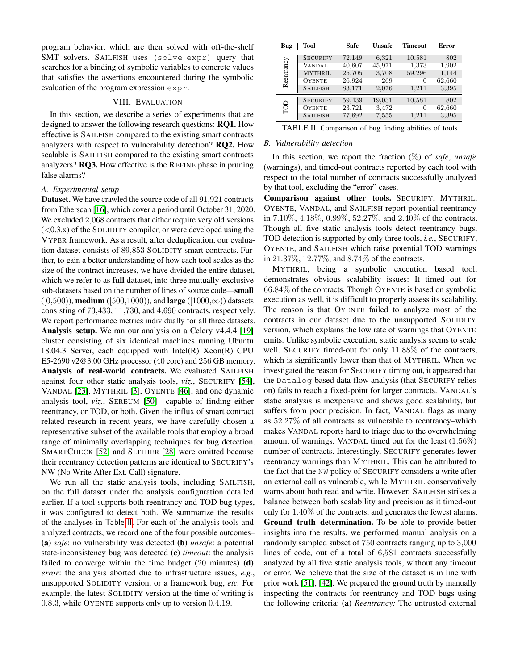program behavior, which are then solved with off-the-shelf SMT solvers. SAILFISH uses (solve expr) query that searches for a binding of symbolic variables to concrete values that satisfies the assertions encountered during the symbolic evaluation of the program expression expr.

# VIII. EVALUATION

<span id="page-10-0"></span>In this section, we describe a series of experiments that are designed to answer the following research questions: RQ1. How effective is SAILFISH compared to the existing smart contracts analyzers with respect to vulnerability detection? RQ2. How scalable is SAILFISH compared to the existing smart contracts analyzers? RQ3. How effective is the REFINE phase in pruning false alarms?

# *A. Experimental setup*

Dataset. We have crawled the source code of all 91,921 contracts from Etherscan [\[16\]](#page-14-0), which cover a period until October 31, 2020. We excluded 2,068 contracts that either require very old versions  $(<0.3x$ ) of the SOLIDITY compiler, or were developed using the VYPER framework. As a result, after deduplication, our evaluation dataset consists of 89,853 SOLIDITY smart contracts. Further, to gain a better understanding of how each tool scales as the size of the contract increases, we have divided the entire dataset, which we refer to as **full** dataset, into three mutually-exclusive sub-datasets based on the number of lines of source code—small  $([0,500))$ , medium  $([500,1000))$ , and large  $([1000,\infty))$  datasets consisting of 73,433, 11,730, and 4,690 contracts, respectively. We report performance metrics individually for all three datasets. Analysis setup. We ran our analysis on a Celery v4.4.4 [\[19\]](#page-14-25) cluster consisting of six identical machines running Ubuntu 18.04.3 Server, each equipped with Intel(R) Xeon(R) CPU E5-2690 v2@3.00 GHz processor (40 core) and 256 GB memory. Analysis of real-world contracts. We evaluated SAILFISH against four other static analysis tools, *viz.*, SECURIFY [\[54\]](#page-15-1), VANDAL [\[23\]](#page-14-20), MYTHRIL [\[3\]](#page-14-13), OYENTE [\[46\]](#page-14-14), and one dynamic analysis tool, *viz.*, SEREUM [\[50\]](#page-14-11)—capable of finding either reentrancy, or TOD, or both. Given the influx of smart contract related research in recent years, we have carefully chosen a representative subset of the available tools that employ a broad range of minimally overlapping techniques for bug detection. SMARTCHECK [\[52\]](#page-14-26) and SLITHER [\[28\]](#page-14-24) were omitted because their reentrancy detection patterns are identical to SECURIFY's NW (No Write After Ext. Call) signature.

We run all the static analysis tools, including SAILFISH, on the full dataset under the analysis configuration detailed earlier. If a tool supports both reentrancy and TOD bug types, it was configured to detect both. We summarize the results of the analyses in Table [II](#page-10-1). For each of the analysis tools and analyzed contracts, we record one of the four possible outcomes– (a) *safe*: no vulnerability was detected (b) *unsafe*: a potential state-inconsistency bug was detected (c) *timeout*: the analysis failed to converge within the time budget (20 minutes) (d) *error*: the analysis aborted due to infrastructure issues, *e.g.*, unsupported SOLIDITY version, or a framework bug, *etc.* For example, the latest SOLIDITY version at the time of writing is 0.8.3, while OYENTE supports only up to version 0.4.19.

<span id="page-10-1"></span>

| Bug        | Tool            | Safe   | Unsafe | <b>Timeout</b> | Error  |
|------------|-----------------|--------|--------|----------------|--------|
| Reentrancy | <b>SECURIFY</b> | 72,149 | 6,321  | 10,581         | 802    |
|            | <b>VANDAL</b>   | 40,607 | 45,971 | 1,373          | 1,902  |
|            | <b>MYTHRIL</b>  | 25,705 | 3,708  | 59,296         | 1,144  |
|            | <b>OYENTE</b>   | 26,924 | 269    | 0              | 62,660 |
|            | <b>SAILFISH</b> | 83,171 | 2,076  | 1,211          | 3,395  |
| TOD        | <b>SECURIFY</b> | 59,439 | 19,031 | 10,581         | 802    |
|            | <b>OYENTE</b>   | 23,721 | 3,472  | 0              | 62,660 |
|            | <b>SAILFISH</b> | 77,692 | 7,555  | 1,211          | 3,395  |

| TABLE II: Comparison of bug finding abilities of tools |  |  |  |
|--------------------------------------------------------|--|--|--|
|                                                        |  |  |  |

#### *B. Vulnerability detection*

In this section, we report the fraction (%) of *safe*, *unsafe* (warnings), and timed-out contracts reported by each tool with respect to the total number of contracts successfully analyzed by that tool, excluding the "error" cases.

Comparison against other tools. SECURIFY, MYTHRIL, OYENTE, VANDAL, and SAILFISH report potential reentrancy in 7.10%, 4.18%, 0.99%, 52.27%, and 2.40% of the contracts. Though all five static analysis tools detect reentrancy bugs, TOD detection is supported by only three tools, *i.e.*, SECURIFY, OYENTE, and SAILFISH which raise potential TOD warnings in 21.37%, 12.77%, and 8.74% of the contracts.

MYTHRIL, being a symbolic execution based tool, demonstrates obvious scalability issues: It timed out for 66.84% of the contracts. Though OYENTE is based on symbolic execution as well, it is difficult to properly assess its scalability. The reason is that OYENTE failed to analyze most of the contracts in our dataset due to the unsupported SOLIDITY version, which explains the low rate of warnings that OYENTE emits. Unlike symbolic execution, static analysis seems to scale well. SECURIFY timed-out for only 11.88% of the contracts, which is significantly lower than that of MYTHRIL. When we investigated the reason for SECURIFY timing out, it appeared that the Datalog-based data-flow analysis (that SECURIFY relies on) fails to reach a fixed-point for larger contracts. VANDAL's static analysis is inexpensive and shows good scalability, but suffers from poor precision. In fact, VANDAL flags as many as 52.27% of all contracts as vulnerable to reentrancy–which makes VANDAL reports hard to triage due to the overwhelming amount of warnings. VANDAL timed out for the least (1.56%) number of contracts. Interestingly, SECURIFY generates fewer reentrancy warnings than MYTHRIL. This can be attributed to the fact that the NW policy of SECURIFY considers a write after an external call as vulnerable, while MYTHRIL conservatively warns about both read and write. However, SAILFISH strikes a balance between both scalability and precision as it timed-out only for 1.40% of the contracts, and generates the fewest alarms. Ground truth determination. To be able to provide better insights into the results, we performed manual analysis on a randomly sampled subset of 750 contracts ranging up to 3,000 lines of code, out of a total of 6,581 contracts successfully analyzed by all five static analysis tools, without any timeout or error. We believe that the size of the dataset is in line with prior work [\[51\]](#page-14-27), [\[42\]](#page-14-28). We prepared the ground truth by manually inspecting the contracts for reentrancy and TOD bugs using the following criteria: (a) *Reentrancy:* The untrusted external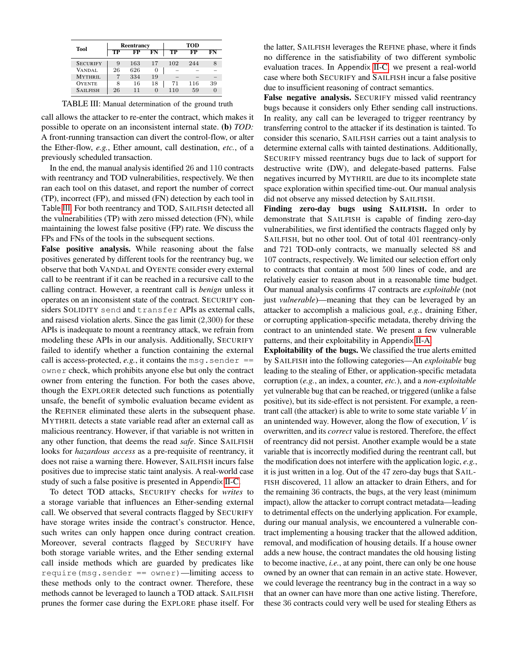<span id="page-11-0"></span>

| Tool            | Reentrancy |     |            | TOD |     |    |
|-----------------|------------|-----|------------|-----|-----|----|
|                 | TР         | FP  | ${\bf FN}$ | ТP  | FP  | FN |
| <b>SECURIFY</b> | 9          | 163 | 17         | 102 | 244 | 8  |
| VANDAL.         | 26         | 626 | 0          |     |     |    |
| MYTHRIL         |            | 334 | 19         |     |     |    |
| <b>OYENTE</b>   | 8          | 16  | 18         | 71  | 116 | 39 |
| <b>SAILFISH</b> | 26         | 11  | 0          | 110 | 59  | 0  |

TABLE III: Manual determination of the ground truth

call allows the attacker to re-enter the contract, which makes it possible to operate on an inconsistent internal state. (b) *TOD:* A front-running transaction can divert the control-flow, or alter the Ether-flow, *e.g.*, Ether amount, call destination, *etc.*, of a previously scheduled transaction.

In the end, the manual analysis identified 26 and 110 contracts with reentrancy and TOD vulnerabilities, respectively. We then ran each tool on this dataset, and report the number of correct (TP), incorrect (FP), and missed (FN) detection by each tool in Table [III](#page-11-0). For both reentrancy and TOD, SAILFISH detected all the vulnerabilities (TP) with zero missed detection (FN), while maintaining the lowest false positive (FP) rate. We discuss the FPs and FNs of the tools in the subsequent sections.

False positive analysis. While reasoning about the false positives generated by different tools for the reentrancy bug, we observe that both VANDAL and OYENTE consider every external call to be reentrant if it can be reached in a recursive call to the calling contract. However, a reentrant call is *benign* unless it operates on an inconsistent state of the contract. SECURIFY considers SOLIDITY send and transfer APIs as external calls, and raisesd violation alerts. Since the gas limit (2,300) for these APIs is inadequate to mount a reentrancy attack, we refrain from modeling these APIs in our analysis. Additionally, SECURIFY failed to identify whether a function containing the external call is access-protected,  $e.g.,$  it contains the msq. sender  $==$ owner check, which prohibits anyone else but only the contract owner from entering the function. For both the cases above, though the EXPLORER detected such functions as potentially unsafe, the benefit of symbolic evaluation became evident as the REFINER eliminated these alerts in the subsequent phase. MYTHRIL detects a state variable read after an external call as malicious reentrancy. However, if that variable is not written in any other function, that deems the read *safe*. Since SAILFISH looks for *hazardous access* as a pre-requisite of reentrancy, it does not raise a warning there. However, SAILFISH incurs false positives due to imprecise static taint analysis. A real-world case study of such a false positive is presented in Appendix [II-C.](#page-16-0)

To detect TOD attacks, SECURIFY checks for *writes* to a storage variable that influences an Ether-sending external call. We observed that several contracts flagged by SECURIFY have storage writes inside the contract's constructor. Hence, such writes can only happen once during contract creation. Moreover, several contracts flagged by SECURIFY have both storage variable writes, and the Ether sending external call inside methods which are guarded by predicates like require(msq.sender  $==$  owner)—limiting access to these methods only to the contract owner. Therefore, these methods cannot be leveraged to launch a TOD attack. SAILFISH prunes the former case during the EXPLORE phase itself. For

the latter, SAILFISH leverages the REFINE phase, where it finds no difference in the satisfiability of two different symbolic evaluation traces. In Appendix [II-C,](#page-16-0) we present a real-world case where both SECURIFY and SAILFISH incur a false positive due to insufficient reasoning of contract semantics.

False negative analysis. SECURIFY missed valid reentrancy bugs because it considers only Ether sending call instructions. In reality, any call can be leveraged to trigger reentrancy by transferring control to the attacker if its destination is tainted. To consider this scenario, SAILFISH carries out a taint analysis to determine external calls with tainted destinations. Additionally, SECURIFY missed reentrancy bugs due to lack of support for destructive write (DW), and delegate-based patterns. False negatives incurred by MYTHRIL are due to its incomplete state space exploration within specified time-out. Our manual analysis did not observe any missed detection by SAILFISH.

Finding zero-day bugs using SAILFISH. In order to demonstrate that SAILFISH is capable of finding zero-day vulnerabilities, we first identified the contracts flagged only by SAILFISH, but no other tool. Out of total 401 reentrancy-only and 721 TOD-only contracts, we manually selected 88 and 107 contracts, respectively. We limited our selection effort only to contracts that contain at most 500 lines of code, and are relatively easier to reason about in a reasonable time budget. Our manual analysis confirms 47 contracts are *exploitable* (not just *vulnerable*)—meaning that they can be leveraged by an attacker to accomplish a malicious goal, *e.g.*, draining Ether, or corrupting application-specific metadata, thereby driving the contract to an unintended state. We present a few vulnerable patterns, and their exploitability in Appendix [II-A.](#page-15-5)

Exploitability of the bugs. We classified the true alerts emitted by SAILFISH into the following categories—An *exploitable* bug leading to the stealing of Ether, or application-specific metadata corruption (*e.g.*, an index, a counter, *etc.*), and a *non-exploitable* yet vulnerable bug that can be reached, or triggered (unlike a false positive), but its side-effect is not persistent. For example, a reentrant call (the attacker) is able to write to some state variable  $V$  in an unintended way. However, along the flow of execution, V is overwritten, and its *correct* value is restored. Therefore, the effect of reentrancy did not persist. Another example would be a state variable that is incorrectly modified during the reentrant call, but the modification does not interfere with the application logic, *e.g.*, it is just written in a log. Out of the 47 zero-day bugs that SAIL-FISH discovered, 11 allow an attacker to drain Ethers, and for the remaining 36 contracts, the bugs, at the very least (minimum impact), allow the attacker to corrupt contract metadata—leading to detrimental effects on the underlying application. For example, during our manual analysis, we encountered a vulnerable contract implementing a housing tracker that the allowed addition, removal, and modification of housing details. If a house owner adds a new house, the contract mandates the old housing listing to become inactive, *i.e.*, at any point, there can only be one house owned by an owner that can remain in an active state. However, we could leverage the reentrancy bug in the contract in a way so that an owner can have more than one active listing. Therefore, these 36 contracts could very well be used for stealing Ethers as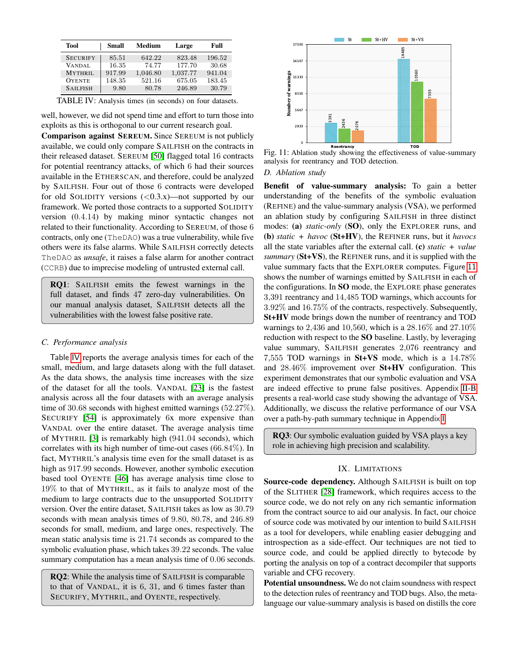<span id="page-12-1"></span>

| <b>Tool</b>     | <b>Small</b> | Medium   | Large    | Full   |
|-----------------|--------------|----------|----------|--------|
| <b>SECURIFY</b> | 85.51        | 642.22   | 823.48   | 196.52 |
| VANDAL.         | 16.35        | 74.77    | 177.70   | 30.68  |
| <b>MYTHRIL</b>  | 917.99       | 1,046.80 | 1,037.77 | 941.04 |
| <b>OYENTE</b>   | 148.35       | 521.16   | 675.05   | 183.45 |
| <b>SAILFISH</b> | 9.80         | 80.78    | 246.89   | 30.79  |

TABLE IV: Analysis times (in seconds) on four datasets.

well, however, we did not spend time and effort to turn those into exploits as this is orthogonal to our current research goal.

Comparison against SEREUM. Since SEREUM is not publicly available, we could only compare SAILFISH on the contracts in their released dataset. SEREUM [\[50\]](#page-14-11) flagged total 16 contracts for potential reentrancy attacks, of which 6 had their sources available in the ETHERSCAN, and therefore, could be analyzed by SAILFISH. Four out of those 6 contracts were developed for old SOLIDITY versions  $( $0.3 \, x$ )$ —not supported by our framework. We ported those contracts to a supported SOLIDITY version (0.4.14) by making minor syntactic changes not related to their functionality. According to SEREUM, of those 6 contracts, only one (TheDAO) was a true vulnerability, while five others were its false alarms. While SAILFISH correctly detects TheDAO as *unsafe*, it raises a false alarm for another contract (CCRB) due to imprecise modeling of untrusted external call.

RQ1: SAILFISH emits the fewest warnings in the full dataset, and finds 47 zero-day vulnerabilities. On our manual analysis dataset, SAILFISH detects all the vulnerabilities with the lowest false positive rate.

#### *C. Performance analysis*

Table [IV](#page-12-1) reports the average analysis times for each of the small, medium, and large datasets along with the full dataset. As the data shows, the analysis time increases with the size of the dataset for all the tools. VANDAL [\[23\]](#page-14-20) is the fastest analysis across all the four datasets with an average analysis time of 30.68 seconds with highest emitted warnings (52.27%). SECURIFY [\[54\]](#page-15-1) is approximately 6x more expensive than VANDAL over the entire dataset. The average analysis time of MYTHRIL [\[3\]](#page-14-13) is remarkably high (941.04 seconds), which correlates with its high number of time-out cases (66.84%). In fact, MYTHRIL's analysis time even for the small dataset is as high as 917.99 seconds. However, another symbolic execution based tool OYENTE [\[46\]](#page-14-14) has average analysis time close to 19% to that of MYTHRIL, as it fails to analyze most of the medium to large contracts due to the unsupported SOLIDITY version. Over the entire dataset, SAILFISH takes as low as 30.79 seconds with mean analysis times of 9.80, 80.78, and 246.89 seconds for small, medium, and large ones, respectively. The mean static analysis time is 21.74 seconds as compared to the symbolic evaluation phase, which takes 39.22 seconds. The value summary computation has a mean analysis time of 0.06 seconds.

RQ2: While the analysis time of SAILFISH is comparable to that of VANDAL, it is 6, 31, and 6 times faster than SECURIFY, MYTHRIL, and OYENTE, respectively.

<span id="page-12-0"></span>

**POD**<br>Fig. 11: Ablation study showing the effectiveness of value-summary analysis for reentrancy and TOD detection.

#### *D. Ablation study*

Benefit of value-summary analysis: To gain a better understanding of the benefits of the symbolic evaluation (REFINE) and the value-summary analysis (VSA), we performed an ablation study by configuring SAILFISH in three distinct modes: (a) *static-only* (SO), only the EXPLORER runs, and (b) *static + havoc* (St+HV), the REFINER runs, but it *havocs* all the state variables after the external call. (c) *static + value summary* (St+VS), the REFINER runs, and it is supplied with the value summary facts that the EXPLORER computes. Figure [11](#page-12-0) shows the number of warnings emitted by SAILFISH in each of the configurations. In SO mode, the EXPLORE phase generates 3,391 reentrancy and 14,485 TOD warnings, which accounts for 3.92% and 16.75% of the contracts, respectively. Subsequently, St+HV mode brings down the number of reentrancy and TOD warnings to 2,436 and 10,560, which is a 28.16% and 27.10% reduction with respect to the SO baseline. Lastly, by leveraging value summary, SAILFISH generates 2,076 reentrancy and 7,555 TOD warnings in St+VS mode, which is a 14.78% and 28.46% improvement over St+HV configuration. This experiment demonstrates that our symbolic evaluation and VSA are indeed effective to prune false positives. Appendix [II-B](#page-16-1) presents a real-world case study showing the advantage of VSA. Additionally, we discuss the relative performance of our VSA over a path-by-path summary technique in Appendix [I](#page-15-3).

RQ3: Our symbolic evaluation guided by VSA plays a key role in achieving high precision and scalability.

# IX. LIMITATIONS

Source-code dependency. Although SAILFISH is built on top of the SLITHER [\[28\]](#page-14-24) framework, which requires access to the source code, we do not rely on any rich semantic information from the contract source to aid our analysis. In fact, our choice of source code was motivated by our intention to build SAILFISH as a tool for developers, while enabling easier debugging and introspection as a side-effect. Our techniques are not tied to source code, and could be applied directly to bytecode by porting the analysis on top of a contract decompiler that supports variable and CFG recovery.

Potential unsoundness. We do not claim soundness with respect to the detection rules of reentrancy and TOD bugs. Also, the metalanguage our value-summary analysis is based on distills the core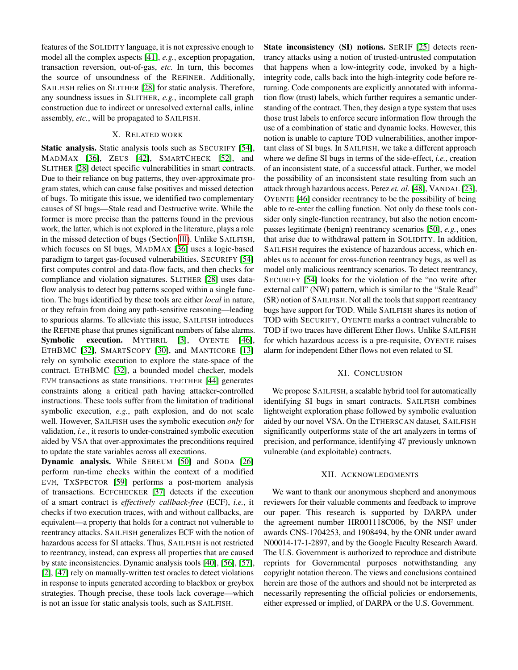features of the SOLIDITY language, it is not expressive enough to model all the complex aspects [\[41\]](#page-14-29), *e.g.*, exception propagation, transaction reversion, out-of-gas, *etc.* In turn, this becomes the source of unsoundness of the REFINER. Additionally, SAILFISH relies on SLITHER [\[28\]](#page-14-24) for static analysis. Therefore, any soundness issues in SLITHER, *e.g.*, incomplete call graph construction due to indirect or unresolved external calls, inline assembly, *etc.*, will be propagated to SAILFISH.

# X. RELATED WORK

Static analysis. Static analysis tools such as SECURIFY [\[54\]](#page-15-1), MADMAX [\[36\]](#page-14-12), ZEUS [\[42\]](#page-14-28), SMARTCHECK [\[52\]](#page-14-26), and SLITHER [\[28\]](#page-14-24) detect specific vulnerabilities in smart contracts. Due to their reliance on bug patterns, they over-approximate program states, which can cause false positives and missed detection of bugs. To mitigate this issue, we identified two complementary causes of SI bugs—Stale read and Destructive write. While the former is more precise than the patterns found in the previous work, the latter, which is not explored in the literature, plays a role in the missed detection of bugs (Section [III](#page-2-0)). Unlike SAILFISH, which focuses on SI bugs, MADMAX [\[36\]](#page-14-12) uses a logic-based paradigm to target gas-focused vulnerabilities. SECURIFY [\[54\]](#page-15-1) first computes control and data-flow facts, and then checks for compliance and violation signatures. SLITHER [\[28\]](#page-14-24) uses dataflow analysis to detect bug patterns scoped within a single function. The bugs identified by these tools are either *local* in nature, or they refrain from doing any path-sensitive reasoning—leading to spurious alarms. To alleviate this issue, SAILFISH introduces the REFINE phase that prunes significant numbers of false alarms. Symbolic execution. MYTHRIL [\[3\]](#page-14-13), OYENTE [\[46\]](#page-14-14), ETHBMC [\[32\]](#page-14-30), SMARTSCOPY [\[30\]](#page-14-31), and MANTICORE [\[13\]](#page-14-32) rely on symbolic execution to explore the state-space of the contract. ETHBMC [\[32\]](#page-14-30), a bounded model checker, models EVM transactions as state transitions. TEETHER [\[44\]](#page-14-33) generates constraints along a critical path having attacker-controlled instructions. These tools suffer from the limitation of traditional symbolic execution, *e.g.*, path explosion, and do not scale well. However, SAILFISH uses the symbolic execution *only* for validation, *i.e.*, it resorts to under-constrained symbolic execution aided by VSA that over-approximates the preconditions required to update the state variables across all executions.

Dynamic analysis. While SEREUM [\[50\]](#page-14-11) and SODA [\[26\]](#page-14-34) perform run-time checks within the context of a modified EVM, TXSPECTOR [\[59\]](#page-15-0) performs a post-mortem analysis of transactions. ECFCHECKER [\[37\]](#page-14-15) detects if the execution of a smart contract is *effectively callback-free* (ECF), *i.e.*, it checks if two execution traces, with and without callbacks, are equivalent—a property that holds for a contract not vulnerable to reentrancy attacks. SAILFISH generalizes ECF with the notion of hazardous access for SI attacks. Thus, SAILFISH is not restricted to reentrancy, instead, can express all properties that are caused by state inconsistencies. Dynamic analysis tools [\[40\]](#page-14-35), [\[56\]](#page-15-6), [\[57\]](#page-15-7), [\[2\]](#page-14-36), [\[47\]](#page-14-37) rely on manually-written test oracles to detect violations in response to inputs generated according to blackbox or greybox strategies. Though precise, these tools lack coverage—which is not an issue for static analysis tools, such as SAILFISH.

State inconsistency (SI) notions. SERIF [\[25\]](#page-14-38) detects reentrancy attacks using a notion of trusted-untrusted computation that happens when a low-integrity code, invoked by a highintegrity code, calls back into the high-integrity code before returning. Code components are explicitly annotated with information flow (trust) labels, which further requires a semantic understanding of the contract. Then, they design a type system that uses those trust labels to enforce secure information flow through the use of a combination of static and dynamic locks. However, this notion is unable to capture TOD vulnerabilities, another important class of SI bugs. In SAILFISH, we take a different approach where we define SI bugs in terms of the side-effect, *i.e.*, creation of an inconsistent state, of a successful attack. Further, we model the possibility of an inconsistent state resulting from such an attack through hazardous access. Perez *et. al.* [\[48\]](#page-14-39), VANDAL [\[23\]](#page-14-20), OYENTE [\[46\]](#page-14-14) consider reentrancy to be the possibility of being able to re-enter the calling function. Not only do these tools consider only single-function reentrancy, but also the notion encompasses legitimate (benign) reentrancy scenarios [\[50\]](#page-14-11), *e.g.*, ones that arise due to withdrawal pattern in SOLIDITY. In addition, SAILFISH requires the existence of hazardous access, which enables us to account for cross-function reentrancy bugs, as well as model only malicious reentrancy scenarios. To detect reentrancy, SECURIFY [\[54\]](#page-15-1) looks for the violation of the "no write after external call" (NW) pattern, which is similar to the "Stale Read" (SR) notion of SAILFISH. Not all the tools that support reentrancy bugs have support for TOD. While SAILFISH shares its notion of TOD with SECURIFY, OYENTE marks a contract vulnerable to TOD if two traces have different Ether flows. Unlike SAILFISH for which hazardous access is a pre-requisite, OYENTE raises alarm for independent Ether flows not even related to SI.

# XI. CONCLUSION

We propose SAILFISH, a scalable hybrid tool for automatically identifying SI bugs in smart contracts. SAILFISH combines lightweight exploration phase followed by symbolic evaluation aided by our novel VSA. On the ETHERSCAN dataset, SAILFISH significantly outperforms state of the art analyzers in terms of precision, and performance, identifying 47 previously unknown vulnerable (and exploitable) contracts.

#### XII. ACKNOWLEDGMENTS

We want to thank our anonymous shepherd and anonymous reviewers for their valuable comments and feedback to improve our paper. This research is supported by DARPA under the agreement number HR001118C006, by the NSF under awards CNS-1704253, and 1908494, by the ONR under award N00014-17-1-2897, and by the Google Faculty Research Award. The U.S. Government is authorized to reproduce and distribute reprints for Governmental purposes notwithstanding any copyright notation thereon. The views and conclusions contained herein are those of the authors and should not be interpreted as necessarily representing the official policies or endorsements, either expressed or implied, of DARPA or the U.S. Government.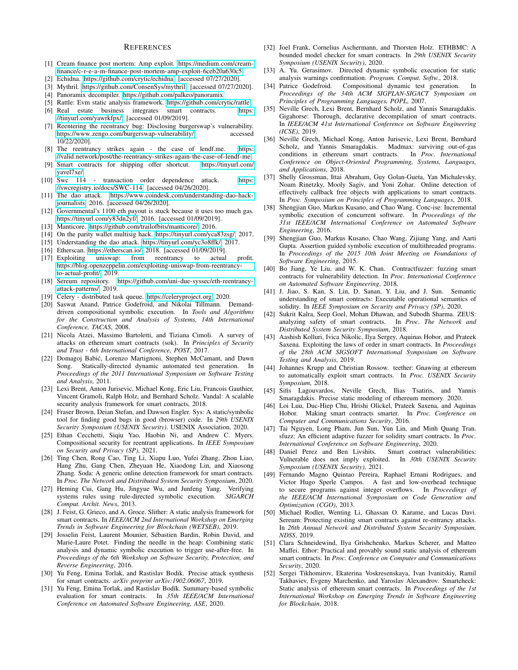#### **REFERENCES**

- <span id="page-14-40"></span>[1] Cream finance post mortem: Amp exploit. [https://medium](https://medium.com/cream-finance/c-r-e-a-m-finance-post-mortem-amp-exploit-6ceb20a630c5).com/cream[finance/c-r-e-a-m-finance-post-mortem-amp-exploit-6ceb20a630c5.](https://medium.com/cream-finance/c-r-e-a-m-finance-post-mortem-amp-exploit-6ceb20a630c5)
- <span id="page-14-36"></span>[2] Echidna. https://github.[com/crytic/echidna.](https://github.com/crytic/echidna) [accessed 07/27/2020].
- <span id="page-14-13"></span>[3] Mythril. https://github.[com/ConsenSys/mythril.](https://github.com/ConsenSys/mythril) [accessed 07/27/2020].
- <span id="page-14-50"></span>[4] Panoramix decompiler. https://github.[com/palkeo/panoramix.](https://github.com/palkeo/panoramix)
- <span id="page-14-48"></span>[5] Rattle: Evm static analysis framework. https://github.[com/crytic/rattle.](https://github.com/crytic/rattle)
- <span id="page-14-1"></span>[6] Real estate business integrates smart contracts. [https:](https://tinyurl.com/yawrkfpx/) //tinyurl.[com/yawrkfpx/.](https://tinyurl.com/yawrkfpx/) [accessed 01/09/2019].
- <span id="page-14-9"></span>[7] Reentering the reentrancy bug: Disclosing burgerswap's vulnerability. https://www.zengo.[com/burgerswap-vulnerability/.](https://www.zengo.com/burgerswap-vulnerability/) accessed 10/22/2020].
- <span id="page-14-10"></span>[8] The reentrancy strikes again - the case of lendf.me. [https:](https://valid.network/post/the-reentrancy-strikes-again-the-case-of-lendf-me) //valid.[network/post/the-reentrancy-strikes-again-the-case-of-lendf-me.](https://valid.network/post/the-reentrancy-strikes-again-the-case-of-lendf-me)
- <span id="page-14-2"></span>[9] Smart contracts for shipping offer shortcut. [https://tinyurl](https://tinyurl.com/yavel7xe/).com/ [yavel7xe/.](https://tinyurl.com/yavel7xe/)
- <span id="page-14-19"></span>[10] Swc 114 - transaction order dependence attack. [https:](https://swcregistry.io/docs/SWC-114) //swcregistry.[io/docs/SWC-114.](https://swcregistry.io/docs/SWC-114) [accessed 04/26/2020].
- <span id="page-14-7"></span>[11] The dao attack. https://www.coindesk.[com/understanding-dao-hack](https://www.coindesk.com/understanding-dao-hack-journalists)[journalists,](https://www.coindesk.com/understanding-dao-hack-journalists) 2016. [accessed 04/26/2020].
- <span id="page-14-5"></span>[12] Governmental's 1100 eth payout is stuck because it uses too much gas. https://tinyurl.[com/y83dn2yf/,](https://tinyurl.com/y83dn2yf/) 2016. [accessed 01/09/2019].
- <span id="page-14-32"></span>[13] Manticore. https://github.[com/trailofbits/manticore/,](https://github.com/trailofbits/manticore/) 2016.
- <span id="page-14-4"></span>[14] On the parity wallet multisig hack. https://tinyurl.[com/yca83zsg/,](https://tinyurl.com/yca83zsg/) 2017.
- <span id="page-14-3"></span>[15] Understanding the dao attack. https://tinyurl.[com/yc3o8ffk/,](https://tinyurl.com/yc3o8ffk/) 2017.
- <span id="page-14-0"></span>[16] Etherscan. [https://etherscan](https://etherscan.io/).io/, 2018. [accessed 01/09/2019].
- <span id="page-14-8"></span>[17] Exploiting uniswap: from reentrancy to actual profit. https://blog.openzeppelin.[com/exploiting-uniswap-from-reentrancy](https://blog.openzeppelin.com/exploiting-uniswap-from-reentrancy-to-actual-profit/)[to-actual-profit/,](https://blog.openzeppelin.com/exploiting-uniswap-from-reentrancy-to-actual-profit/) 2019.
- <span id="page-14-21"></span>[18] Sereum repository. https://github.[com/uni-due-syssec/eth-reentrancy](https://github.com/uni-due-syssec/eth-reentrancy-attack-patterns/)[attack-patterns/,](https://github.com/uni-due-syssec/eth-reentrancy-attack-patterns/) 2019.
- <span id="page-14-25"></span>[19] Celery - distributed task queue. [https://celeryproject](https://celeryproject.org).org, 2020.
- <span id="page-14-18"></span>[20] Saswat Anand, Patrice Godefroid, and Nikolai Tillmann. Demanddriven compositional symbolic execution. In *Tools and Algorithms for the Construction and Analysis of Systems, 14th International Conference, TACAS*, 2008.
- <span id="page-14-6"></span>[21] Nicola Atzei, Massimo Bartoletti, and Tiziana Cimoli. A survey of attacks on ethereum smart contracts (sok). In *Principles of Security and Trust - 6th International Conference, POST*, 2017.
- <span id="page-14-43"></span>[22] Domagoj Babić, Lorenzo Martignoni, Stephen McCamant, and Dawn Song. Statically-directed dynamic automated test generation. In *Proceedings of the 2011 International Symposium on Software Testing and Analysis*, 2011.
- <span id="page-14-20"></span>[23] Lexi Brent, Anton Jurisevic, Michael Kong, Eric Liu, Francois Gauthier, Vincent Gramoli, Ralph Holz, and Bernhard Scholz. Vandal: A scalable security analysis framework for smart contracts, 2018.
- <span id="page-14-41"></span>[24] Fraser Brown, Deian Stefan, and Dawson Engler. Sys: A static/symbolic tool for finding good bugs in good (browser) code. In *29th USENIX Security Symposium (USENIX Security)*. USENIX Association, 2020.
- <span id="page-14-38"></span>[25] Ethan Cecchetti, Siqiu Yao, Haobin Ni, and Andrew C. Myers. Compositional security for reentrant applications. In *IEEE Symposium on Security and Privacy (SP)*, 2021.
- <span id="page-14-34"></span>[26] Ting Chen, Rong Cao, Ting Li, Xiapu Luo, Yufei Zhang, Zhou Liao, Hang Zhu, Gang Chen, Zheyuan He, Xiaodong Lin, and Xiaosong Zhang. Soda: A generic online detection framework for smart contracts. In *Proc. The Network and Distributed System Security Symposium*, 2020.
- <span id="page-14-42"></span>[27] Heming Cui, Gang Hu, Jingyue Wu, and Junfeng Yang. Verifying systems rules using rule-directed symbolic execution. *SIGARCH Comput. Archit. News*, 2013.
- <span id="page-14-24"></span>[28] J. Feist, G. Grieco, and A. Groce. Slither: A static analysis framework for smart contracts. In *IEEE/ACM 2nd International Workshop on Emerging Trends in Software Engineering for Blockchain (WETSEB)*, 2019.
- <span id="page-14-44"></span>[29] Josselin Feist, Laurent Mounier, Sébastien Bardin, Robin David, and Marie-Laure Potet. Finding the needle in the heap: Combining static analysis and dynamic symbolic execution to trigger use-after-free. In *Proceedings of the 6th Workshop on Software Security, Protection, and Reverse Engineering*, 2016.
- <span id="page-14-31"></span>[30] Yu Feng, Emina Torlak, and Rastislav Bodik. Precise attack synthesis for smart contracts. *arXiv preprint arXiv:1902.06067*, 2019.
- <span id="page-14-16"></span>[31] Yu Feng, Emina Torlak, and Rastislav Bodík. Summary-based symbolic evaluation for smart contracts. In *35th IEEE/ACM International Conference on Automated Software Engineering, ASE*, 2020.
- <span id="page-14-30"></span>[32] Joel Frank, Cornelius Aschermann, and Thorsten Holz. ETHBMC: A bounded model checker for smart contracts. In *29th USENIX Security Symposium (USENIX Security)*, 2020.
- <span id="page-14-45"></span>[33] A. Yu. Gerasimov. Directed dynamic symbolic execution for static analysis warnings confirmation. *Program. Comput. Softw.*, 2018.
- <span id="page-14-17"></span>[34] Patrice Godefroid. Compositional dynamic test generation. In *Proceedings of the 34th ACM SIGPLAN-SIGACT Symposium on Principles of Programming Languages, POPL*, 2007.
- <span id="page-14-49"></span>[35] Neville Grech, Lexi Brent, Bernhard Scholz, and Yannis Smaragdakis. Gigahorse: Thorough, declarative decompilation of smart contracts. In *IEEE/ACM 41st International Conference on Software Engineering (ICSE)*, 2019.
- <span id="page-14-12"></span>[36] Neville Grech, Michael Kong, Anton Jurisevic, Lexi Brent, Bernhard Scholz, and Yannis Smaragdakis. Madmax: surviving out-of-gas conditions in ethereum smart contracts. In *Proc. International Conference on Object-Oriented Programming, Systems, Languages, and Applications*, 2018.
- <span id="page-14-15"></span>[37] Shelly Grossman, Ittai Abraham, Guy Golan-Gueta, Yan Michalevsky, Noam Rinetzky, Mooly Sagiv, and Yoni Zohar. Online detection of effectively callback free objects with applications to smart contracts. In *Proc. Symposium on Principles of Programming Languages*, 2018.
- <span id="page-14-47"></span>[38] Shengjian Guo, Markus Kusano, and Chao Wang. Conc-ise: Incremental symbolic execution of concurrent software. In *Proceedings of the 31st IEEE/ACM International Conference on Automated Software Engineering*, 2016.
- <span id="page-14-46"></span>[39] Shengjian Guo, Markus Kusano, Chao Wang, Zijiang Yang, and Aarti Gupta. Assertion guided symbolic execution of multithreaded programs. In *Proceedings of the 2015 10th Joint Meeting on Foundations of Software Engineering*, 2015.
- <span id="page-14-35"></span>[40] Bo Jiang, Ye Liu, and W. K. Chan. Contractfuzzer: fuzzing smart contracts for vulnerability detection. In *Proc. International Conference on Automated Software Engineering*, 2018.
- <span id="page-14-29"></span>[41] J. Jiao, S. Kan, S. Lin, D. Sanan, Y. Liu, and J. Sun. Semantic understanding of smart contracts: Executable operational semantics of solidity. In *IEEE Symposium on Security and Privacy (SP)*, 2020.
- <span id="page-14-28"></span>[42] Sukrit Kalra, Seep Goel, Mohan Dhawan, and Subodh Sharma. ZEUS: analyzing safety of smart contracts. In *Proc. The Network and Distributed System Security Symposium*, 2018.
- <span id="page-14-22"></span>[43] Aashish Kolluri, Ivica Nikolic, Ilya Sergey, Aquinas Hobor, and Prateek Saxena. Exploiting the laws of order in smart contracts. In *Proceedings of the 28th ACM SIGSOFT International Symposium on Software Testing and Analysis*, 2019.
- <span id="page-14-33"></span>[44] Johannes Krupp and Christian Rossow. teether: Gnawing at ethereum to automatically exploit smart contracts. In *Proc. USENIX Security Symposium*, 2018.
- <span id="page-14-51"></span>[45] Sifis Lagouvardos, Neville Grech, Ilias Tsatiris, and Yannis Smaragdakis. Precise static modeling of ethereum memory. 2020.
- <span id="page-14-14"></span>[46] Loi Luu, Duc-Hiep Chu, Hrishi Olickel, Prateek Saxena, and Aquinas Hobor. Making smart contracts smarter. In *Proc. Conference on Computer and Communications Security*, 2016.
- <span id="page-14-37"></span>Tai Nguyen, Long Pham, Jun Sun, Yun Lin, and Minh Quang Tran. sfuzz: An efficient adaptive fuzzer for solidity smart contracts. In *Proc. International Conference on Software Engineering*, 2020.
- <span id="page-14-39"></span>[48] Daniel Perez and Ben Livshits. Vulnerable does not imply exploited. In *30th USENIX Security Symposium (USENIX Security)*, 2021.
- <span id="page-14-23"></span>[49] Fernando Magno Quintao Pereira, Raphael Ernani Rodrigues, and Victor Hugo Sperle Campos. A fast and low-overhead technique to secure programs against integer overflows. In *Proceedings of the IEEE/ACM International Symposium on Code Generation and Optimization (CGO)*, 2013.
- <span id="page-14-11"></span>[50] Michael Rodler, Wenting Li, Ghassan O. Karame, and Lucas Davi. Sereum: Protecting existing smart contracts against re-entrancy attacks. In *26th Annual Network and Distributed System Security Symposium, NDSS*, 2019.
- <span id="page-14-27"></span>[51] Clara Schneidewind, Ilya Grishchenko, Markus Scherer, and Matteo Maffei. Ethor: Practical and provably sound static analysis of ethereum smart contracts. In *Proc. Conference on Computer and Communications Security*, 2020.
- <span id="page-14-26"></span>[52] Sergei Tikhomirov, Ekaterina Voskresenskaya, Ivan Ivanitskiy, Ramil Takhaviev, Evgeny Marchenko, and Yaroslav Alexandrov. Smartcheck: Static analysis of ethereum smart contracts. In *Proceedings of the 1st International Workshop on Emerging Trends in Software Engineering for Blockchain*, 2018.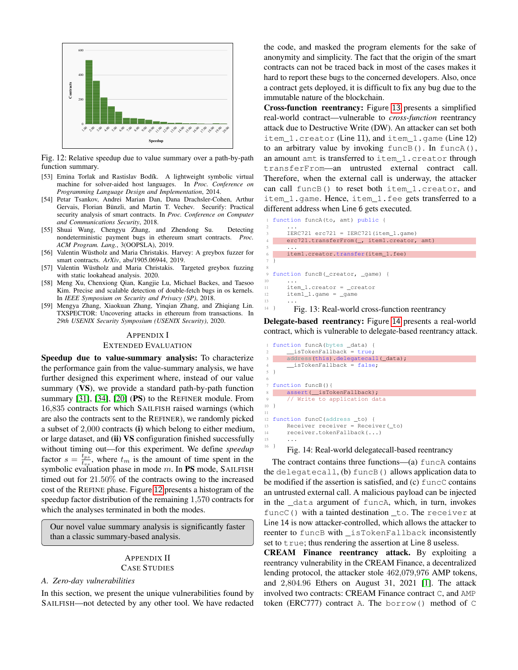<span id="page-15-8"></span>

Fig. 12: Relative speedup due to value summary over a path-by-path function summary.

- <span id="page-15-4"></span>[53] Emina Torlak and Rastislav Bodík. A lightweight symbolic virtual machine for solver-aided host languages. In *Proc. Conference on Programming Language Design and Implementation*, 2014.
- <span id="page-15-1"></span>[54] Petar Tsankov, Andrei Marian Dan, Dana Drachsler-Cohen, Arthur Gervais, Florian Bünzli, and Martin T. Vechev. Securify: Practical security analysis of smart contracts. In *Proc. Conference on Computer and Communications Security*, 2018.
- <span id="page-15-2"></span>[55] Shuai Wang, Chengyu Zhang, and Zhendong Su. Detecting nondeterministic payment bugs in ethereum smart contracts. *Proc. ACM Program. Lang.*, 3(OOPSLA), 2019.
- <span id="page-15-6"></span>[56] Valentin Wüstholz and Maria Christakis. Harvey: A greybox fuzzer for smart contracts. *ArXiv*, abs/1905.06944, 2019.
- <span id="page-15-7"></span>[57] Valentin Wüstholz and Maria Christakis. Targeted greybox fuzzing with static lookahead analysis. 2020.
- <span id="page-15-11"></span>[58] Meng Xu, Chenxiong Qian, Kangjie Lu, Michael Backes, and Taesoo Kim. Precise and scalable detection of double-fetch bugs in os kernels. In *IEEE Symposium on Security and Privacy (SP)*, 2018.
- <span id="page-15-0"></span>[59] Mengya Zhang, Xiaokuan Zhang, Yinqian Zhang, and Zhiqiang Lin. TXSPECTOR: Uncovering attacks in ethereum from transactions. In *29th USENIX Security Symposium (USENIX Security)*, 2020.

# <span id="page-15-3"></span>APPENDIX I

#### EXTENDED EVALUATION

Speedup due to value-summary analysis: To characterize the performance gain from the value-summary analysis, we have further designed this experiment where, instead of our value summary (VS), we provide a standard path-by-path function summary [\[31\]](#page-14-16), [\[34\]](#page-14-17), [\[20\]](#page-14-18) (PS) to the REFINER module. From 16,835 contracts for which SAILFISH raised warnings (which are also the contracts sent to the REFINER), we randomly picked a subset of 2,000 contracts (i) which belong to either medium, or large dataset, and (ii) VS configuration finished successfully without timing out—for this experiment. We define *speedup* factor  $s = \frac{t_{ps}}{t}$  $t_{vs}$ , where  $t_m$  is the amount of time spent in the symbolic evaluation phase in mode  $m$ . In PS mode, SAILFISH timed out for 21.50% of the contracts owing to the increased cost of the REFINE phase. Figure [12](#page-15-8) presents a histogram of the speedup factor distribution of the remaining 1,570 contracts for which the analyses terminated in both the modes.

Our novel value summary analysis is significantly faster than a classic summary-based analysis.

# APPENDIX II CASE STUDIES

# <span id="page-15-5"></span>*A. Zero-day vulnerabilities*

In this section, we present the unique vulnerabilities found by SAILFISH—not detected by any other tool. We have redacted the code, and masked the program elements for the sake of anonymity and simplicity. The fact that the origin of the smart contracts can not be traced back in most of the cases makes it hard to report these bugs to the concerned developers. Also, once a contract gets deployed, it is difficult to fix any bug due to the immutable nature of the blockchain.

Cross-function reentrancy: Figure [13](#page-15-9) presents a simplified real-world contract—vulnerable to *cross-function* reentrancy attack due to Destructive Write (DW). An attacker can set both item 1. creator (Line 11), and item 1. game (Line 12) to an arbitrary value by invoking funcB(). In funcA(), an amount amt is transferred to item\_1.creator through transferFrom—an untrusted external contract call. Therefore, when the external call is underway, the attacker can call funcB() to reset both item\_1.creator, and item\_1.game. Hence, item\_1.fee gets transferred to a different address when Line 6 gets executed.

```
function funcA(to, amt) public {
 2 ...
       IERC721 erc721 = IERC721(item 1.game)
       erc721.transferFrom(_, item1.creator, amt)
 5 \qquad \qquad \bullet \bullet \bulletitem1.creator.transfer(item_1.fee)
 7 }
 8
  function funcB(_creator, _game) {
10 ...
11 item_1.creator = _creator
12 item1_1.game = _game
13 ...
```
<sup>14</sup> } Fig. 13: Real-world cross-function reentrancy

Delegate-based reentrancy: Figure [14](#page-15-10) presents a real-world contract, which is vulnerable to delegate-based reentrancy attack.

```
function funcA(bytes _data) {
        isTokenFallback = true;address(this).delegatecall(_data);
        isTokenFallback = false;5 }
6
  function funcB(){
      assert(__isTokenFallback);
      // Write to application data
10 }
11
12 function funcC(address _to) {
13 Receiver receiver = Receiver(_to)
14 receiver.tokenFallback(...)
15 ...
16\,Fig. 14: Real-world delegatecall-based reentrancy
```
The contract contains three functions— $(a)$  funcA contains the delegatecall, (b) funcB() allows application data to be modified if the assertion is satisfied, and (c) funcC contains an untrusted external call. A malicious payload can be injected in the \_data argument of funcA, which, in turn, invokes funcC() with a tainted destination \_to. The receiver at Line 14 is now attacker-controlled, which allows the attacker to reenter to funcB with \_isTokenFallback inconsistently set to true; thus rendering the assertion at Line 8 useless.

CREAM Finance reentrancy attack. By exploiting a reentrancy vulnerability in the CREAM Finance, a decentralized lending protocol, the attacker stole 462,079,976 AMP tokens, and 2,804.96 Ethers on August 31, 2021 [\[1\]](#page-14-40). The attack involved two contracts: CREAM Finance contract C, and AMP token (ERC777) contract A. The borrow() method of C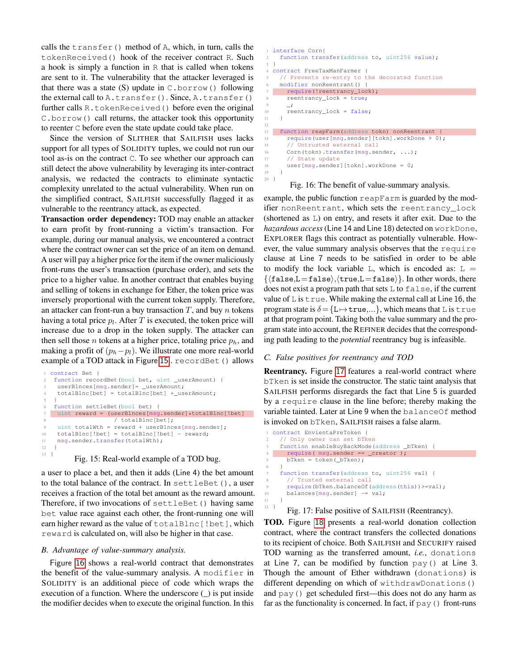calls the transfer() method of A, which, in turn, calls the tokenReceived() hook of the receiver contract R. Such a hook is simply a function in R that is called when tokens are sent to it. The vulnerability that the attacker leveraged is that there was a state  $(S)$  update in  $C$ . borrow() following the external call to  $A$ .transfer(). Since,  $A$ .transfer() further calls R.tokenReceived() before even the original C.borrow() call returns, the attacker took this opportunity to reenter C before even the state update could take place.

Since the version of SLITHER that SAILFISH uses lacks support for all types of SOLIDITY tuples, we could not run our tool as-is on the contract C. To see whether our approach can still detect the above vulnerability by leveraging its inter-contract analysis, we redacted the contracts to eliminate syntactic complexity unrelated to the actual vulnerability. When run on the simplified contract, SAILFISH successfully flagged it as vulnerable to the reentrancy attack, as expected.

Transaction order dependency: TOD may enable an attacker to earn profit by front-running a victim's transaction. For example, during our manual analysis, we encountered a contract where the contract owner can set the price of an item on demand. A user will pay a higher price for the item if the owner maliciously front-runs the user's transaction (purchase order), and sets the price to a higher value. In another contract that enables buying and selling of tokens in exchange for Ether, the token price was inversely proportional with the current token supply. Therefore, an attacker can front-run a buy transaction  $T$ , and buy  $n$  tokens having a total price  $p_l$ . After T is executed, the token price will increase due to a drop in the token supply. The attacker can then sell those *n* tokens at a higher price, totaling price  $p_h$ , and making a profit of  $(p_h-p_l)$ . We illustrate one more real-world example of a TOD attack in Figure [15](#page-16-2). recordBet() allows

```
1 contract Bet {
   function recordBet(bool bet, uint _userAmount) {
    userBlnces[msg.sender]= _userAmount;
    4 totalBlnc[bet] = totalBlnc[bet] +_userAmount;
5 }
6 function settleBet(bool bet) {
7 uint reward = (userBlnces[msg.sender]*totalBlnc[!bet]
                    / totalBlnc[bet];
9 uint totalWth = reward + userBlnces[msg.sender];
10 totalBlnc[!bet] = totalBlnc[!bet] - reward;
11 msg.sender.transfer(totalWth);
12 }
13 }
         Fig. 15: Real-world example of a TOD bug.
```
a user to place a bet, and then it adds (Line 4) the bet amount to the total balance of the contract. In settleBet(), a user receives a fraction of the total bet amount as the reward amount. Therefore, if two invocations of settleBet() having same bet value race against each other, the front-running one will earn higher reward as the value of totalBlnc[!bet], which reward is calculated on, will also be higher in that case.

#### <span id="page-16-1"></span>*B. Advantage of value-summary analysis.*

Figure [16](#page-16-3) shows a real-world contract that demonstrates the benefit of the value-summary analysis. A modifier in SOLIDITY is an additional piece of code which wraps the execution of a function. Where the underscore (\_) is put inside the modifier decides when to execute the original function. In this

```
1 interface Corn{
    function transfer(address to, uint256 value);
3 }
  contract FreeTaxManFarmer {
    // Prevents re-entry to the decorated function
    modifier nonReentrant()
      require(!reentrancy_lock);
      8 reentrancy_lock = true;
9 -i10 reentrancy_lock = false;
11 }
12
13 function reapFarm(address tokn) nonReentrant {
14 require(user[msg.sender][tokn].workDone > 0);
15 // Untrusted external call<br>16 Corn(tokn).transfer(msg.se
      Corn(tokn).transfer(msg.sender, ...);
17 // State update
18 user[msg.sender][tokn].workDone = 0;<br>19 }
19 }
20 }
```
#### Fig. 16: The benefit of value-summary analysis.

example, the public function reapFarm is guarded by the modifier nonReentrant, which sets the reentrancy\_lock (shortened as L) on entry, and resets it after exit. Due to the *hazardous access*(Line 14 and Line 18) detected on workDone, EXPLORER flags this contract as potentially vulnerable. However, the value summary analysis observes that the require clause at Line 7 needs to be satisfied in order to be able to modify the lock variable  $L$ , which is encoded as:  $L =$  $\{\langle false, L=false \rangle, \langle true, L=false \rangle\}.$  In other words, there does not exist a program path that sets L to false, if the current value of  $L$  is  $t$  rue. While making the external call at Line 16, the program state is  $\delta = {\text{L}\mapsto \text{true},...}$ , which means that L is true at that program point. Taking both the value summary and the program state into account, the REFINER decides that the corresponding path leading to the *potential* reentrancy bug is infeasible.

# <span id="page-16-0"></span>*C. False positives for reentrancy and TOD*

Reentrancy. Figure [17](#page-16-4) features a real-world contract where bTken is set inside the constructor. The static taint analysis that SAILFISH performs disregards the fact that Line 5 is guarded by a require clause in the line before; thereby making the variable tainted. Later at Line 9 when the balanceOf method is invoked on bTken, SAILFISH raises a false alarm.

```
contract EnvientaPreToken {
    // Only owner can set bTken
    function enableBuyBackMode(address _bTken) {
      require( msg.sender == _creator );
      bTken = token(bTken);
6 }
    function transfer(address to, uint256 val) {
      8 // Trusted external call
      9 require(bTken.balanceOf(address(this))>=val);
10 balances[msg.sender] -= val;
1112 }
```


TOD. Figure [18](#page-17-2) presents a real-world donation collection contract, where the contract transfers the collected donations to its recipient of choice. Both SAILFISH and SECURIFY raised TOD warning as the transferred amount, *i.e.*, donations at Line 7, can be modified by function pay() at Line 3. Though the amount of Ether withdrawn (donations) is different depending on which of withdrawDonations() and pay() get scheduled first—this does not do any harm as far as the functionality is concerned. In fact, if  $pay()$  front-runs